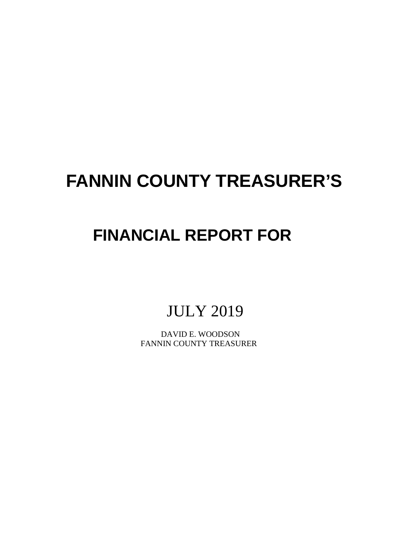# **FANNIN COUNTY TREASURER'S**

## **FINANCIAL REPORT FOR**

### JULY 2019

 DAVID E. WOODSON FANNIN COUNTY TREASURER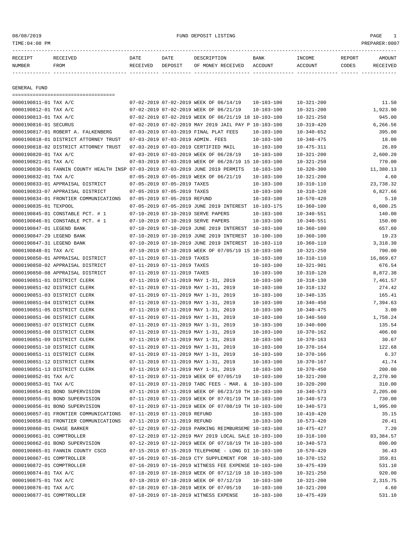#### 08/08/2019 FUND DEPOSIT LISTING PAGE 1

| RECEIPT       | <b>RECEIVED</b> | DATE     | DATE    | DESCRIPTION       | BANK    | INCOME  | REPORT | AMOUNT          |
|---------------|-----------------|----------|---------|-------------------|---------|---------|--------|-----------------|
| <b>NUMBER</b> | FROM            | RECEIVED | DEPOSIT | OF MONEY RECEIVED | ACCOUNT | ACCOUNT | CODES  | <b>RECEIVED</b> |
|               |                 |          |         |                   |         |         |        |                 |

GENERAL FUND

|                            | =====================================                                           |                              |                              |                                                      |                  |                  |            |
|----------------------------|---------------------------------------------------------------------------------|------------------------------|------------------------------|------------------------------------------------------|------------------|------------------|------------|
| 0000190811-01 TAX A/C      |                                                                                 |                              |                              | 07-02-2019 07-02-2019 WEEK OF 06/14/19               | $10 - 103 - 100$ | $10 - 321 - 200$ | 11.50      |
| 0000190812-01 TAX A/C      |                                                                                 |                              |                              | 07-02-2019 07-02-2019 WEEK OF 06/21/19               | $10 - 103 - 100$ | $10 - 321 - 200$ | 1,923.90   |
| 0000190813-01 TAX A/C      |                                                                                 |                              |                              | 07-02-2019 07-02-2019 WEEK OF 06/21/19 18 10-103-100 |                  | $10 - 321 - 250$ | 945.00     |
| 0000190816-01 SECURUS      |                                                                                 |                              |                              | 07-02-2019 07-02-2019 MAY 2019 JAIL PAY P 10-103-100 |                  | $10 - 319 - 420$ | 6,266.56   |
|                            | 0000190817-01 ROBERT A. FALKENBERG                                              |                              |                              | 07-03-2019 07-03-2019 FINAL PLAT FEES                | $10 - 103 - 100$ | $10 - 340 - 652$ | 395.00     |
|                            | 0000190818-01 DISTRICT ATTORNEY TRUST                                           |                              |                              | 07-03-2019 07-03-2019 ADMIN. FEES                    | $10 - 103 - 100$ | $10 - 340 - 475$ | 18.00      |
|                            | 0000190818-02 DISTRICT ATTORNEY TRUST                                           |                              |                              | 07-03-2019 07-03-2019 CERTIFIED MAIL                 | $10 - 103 - 100$ | $10 - 475 - 311$ | 26.89      |
| 0000190820-01 TAX A/C      |                                                                                 |                              |                              | 07-03-2019 07-03-2019 WEEK OF 06/28/19               | $10 - 103 - 100$ | $10 - 321 - 200$ | 2,600.20   |
| 0000190821-01 TAX A/C      |                                                                                 |                              |                              | 07-03-2019 07-03-2019 WEEK OF 06/28/19 15 10-103-100 |                  | $10 - 321 - 250$ | 770.00     |
|                            | 0000190830-01 FANNIN COUNTY HEALTH INSP 07-03-2019 07-03-2019 JUNE 2019 PERMITS |                              |                              |                                                      | $10 - 103 - 100$ | $10 - 320 - 300$ | 11,380.13  |
| 0000190832-01 TAX A/C      |                                                                                 |                              |                              | 07-05-2019 07-05-2019 WEEK OF 06/21/19               | $10 - 103 - 100$ | $10 - 321 - 200$ | 4.60       |
|                            | 0000190833-01 APPRAISAL DISTRICT                                                |                              | 07-05-2019 07-05-2019 TAXES  |                                                      | $10 - 103 - 100$ | $10 - 310 - 110$ | 23,738.32  |
|                            | 0000190833-07 APPRAISAL DISTRICT                                                |                              | 07-05-2019 07-05-2019 TAXES  |                                                      | $10 - 103 - 100$ | $10 - 310 - 120$ | 6,827.66   |
|                            | 0000190834-01 FRONTIER COMMUNICATIONS                                           |                              | 07-05-2019 07-05-2019 REFUND |                                                      | $10 - 103 - 100$ | $10 - 570 - 420$ | 5.10       |
| 0000190835-01 TEXPOOL      |                                                                                 |                              |                              | 07-05-2019 07-05-2019 JUNE 2019 INTEREST 10-103-175  |                  | $10 - 360 - 100$ | 6,600.25   |
|                            | 0000190845-01 CONSTABLE PCT. # 1                                                |                              |                              | 07-10-2019 07-10-2019 SERVE PAPERS                   | $10 - 103 - 100$ | $10 - 340 - 551$ | 140.00     |
|                            | 0000190846-01 CONSTABLE PCT. # 1                                                |                              |                              | 07-10-2019 07-10-2019 SERVE PAPERS                   | $10 - 103 - 100$ | $10 - 340 - 551$ | 150.00     |
| 0000190847-01 LEGEND BANK  |                                                                                 |                              |                              | 07-10-2019 07-10-2019 JUNE 2019 INTEREST 10-103-100  |                  | $10 - 360 - 100$ | 657.60     |
| 0000190847-29 LEGEND BANK  |                                                                                 |                              |                              | 07-10-2019 07-10-2019 JUNE 2019 INTEREST 10-100-100  |                  | $10 - 360 - 100$ | 19.23      |
| 0000190847-31 LEGEND BANK  |                                                                                 |                              |                              | 07-10-2019 07-10-2019 JUNE 2019 INTEREST 10-103-110  |                  | $10 - 360 - 110$ | 3,318.30   |
| 0000190848-01 TAX A/C      |                                                                                 |                              |                              | 07-10-2019 07-10-2019 WEEK OF 07/05/19 15 10-103-100 |                  | $10 - 321 - 250$ | 790.00     |
|                            | 0000190850-01 APPRAISAL DISTRICT                                                |                              | 07-11-2019 07-11-2019 TAXES  |                                                      | $10 - 103 - 100$ | $10 - 310 - 110$ | 16,869.67  |
|                            | 0000190850-02 APPRAISAL DISTRICT                                                |                              | 07-11-2019 07-11-2019 TAXES  |                                                      | $10 - 103 - 100$ | $10 - 321 - 901$ | 676.54     |
|                            | 0000190850-08 APPRAISAL DISTRICT                                                |                              | 07-11-2019 07-11-2019 TAXES  |                                                      | $10 - 103 - 100$ | $10 - 310 - 120$ | 8,872.38   |
|                            | 0000190851-01 DISTRICT CLERK                                                    |                              |                              | 07-11-2019 07-11-2019 MAY 1-31, 2019                 | $10 - 103 - 100$ | $10 - 318 - 130$ | 7,461.57   |
|                            | 0000190851-02 DISTRICT CLERK                                                    |                              |                              | 07-11-2019 07-11-2019 MAY 1-31, 2019                 | $10 - 103 - 100$ | $10 - 318 - 132$ | 274.42     |
|                            | 0000190851-03 DISTRICT CLERK                                                    |                              |                              | 07-11-2019 07-11-2019 MAY 1-31, 2019                 | $10 - 103 - 100$ | $10 - 340 - 135$ | 165.41     |
|                            | 0000190851-04 DISTRICT CLERK                                                    |                              |                              | 07-11-2019 07-11-2019 MAY 1-31, 2019                 | $10 - 103 - 100$ | $10 - 340 - 450$ | 7,394.63   |
|                            | 0000190851-05 DISTRICT CLERK                                                    |                              |                              | 07-11-2019 07-11-2019 MAY 1-31, 2019                 | $10 - 103 - 100$ | $10 - 340 - 475$ | 3.00       |
|                            | 0000190851-06 DISTRICT CLERK                                                    |                              |                              | 07-11-2019 07-11-2019 MAY 1-31, 2019                 | $10 - 103 - 100$ | $10 - 340 - 560$ | 1,758.24   |
|                            | 0000190851-07 DISTRICT CLERK                                                    |                              |                              | 07-11-2019 07-11-2019 MAY 1-31, 2019                 | $10 - 103 - 100$ | $10 - 340 - 600$ | 135.54     |
|                            | 0000190851-08 DISTRICT CLERK                                                    |                              |                              | 07-11-2019 07-11-2019 MAY 1-31, 2019                 | $10 - 103 - 100$ | $10 - 370 - 162$ | 406.60     |
|                            | 0000190851-09 DISTRICT CLERK                                                    |                              |                              | 07-11-2019 07-11-2019 MAY 1-31, 2019                 | $10 - 103 - 100$ | $10 - 370 - 163$ | 30.67      |
|                            | 0000190851-10 DISTRICT CLERK                                                    |                              |                              | 07-11-2019 07-11-2019 MAY 1-31, 2019                 | $10 - 103 - 100$ | $10 - 370 - 164$ | 122.68     |
|                            | 0000190851-11 DISTRICT CLERK                                                    |                              |                              | 07-11-2019 07-11-2019 MAY 1-31, 2019                 | $10 - 103 - 100$ | $10 - 370 - 166$ | 6.37       |
|                            | 0000190851-12 DISTRICT CLERK                                                    |                              |                              | 07-11-2019 07-11-2019 MAY 1-31, 2019                 | $10 - 103 - 100$ | 10-370-167       | 41.74      |
|                            | 0000190851-13 DISTRICT CLERK                                                    |                              |                              | 07-11-2019 07-11-2019 MAY 1-31, 2019                 | $10 - 103 - 100$ | $10 - 370 - 450$ | 200.00     |
| 0000190852-01 TAX A/C      |                                                                                 |                              |                              | 07-11-2019 07-11-2019 WEEK OF 07/05/19               | $10 - 103 - 100$ | $10 - 321 - 200$ | 2,270.90   |
| 0000190853-01 TAX A/C      |                                                                                 |                              |                              | 07-11-2019 07-11-2019 TABC FEES - MAR. & 10-103-100  |                  | $10 - 320 - 200$ | 310.00     |
|                            | 0000190854-01 BOND SUPERVISION                                                  |                              |                              | 07-11-2019 07-11-2019 WEEK OF 06/23/19 TH 10-103-100 |                  | $10 - 340 - 573$ | 2,205.00   |
|                            | 0000190855-01 BOND SUPERVISION                                                  |                              |                              | 07-11-2019 07-11-2019 WEEK OF 07/01/19 TH 10-103-100 |                  | $10 - 340 - 573$ | 730.00     |
|                            | 0000190856-01 BOND SUPERVISION                                                  |                              |                              | 07-11-2019 07-11-2019 WEEK OF 07/08/19 TH 10-103-100 |                  | $10 - 340 - 573$ | 1,995.00   |
|                            | 0000190857-01 FRONTIER COMMUNICATIONS                                           | 07-11-2019 07-11-2019 REFUND |                              |                                                      | $10 - 103 - 100$ | $10 - 410 - 420$ | 35.15      |
|                            | 0000190858-01 FRONTIER COMMUNICATIONS                                           | 07-11-2019 07-11-2019 REFUND |                              |                                                      | $10 - 103 - 100$ | 10-573-420       | 20.41      |
| 0000190860-01 CHASE BARKER |                                                                                 |                              |                              | 07-12-2019 07-12-2019 PARKING REIMBURSEME 10-103-100 |                  | $10 - 475 - 427$ | 7.20       |
| 0000190861-01 COMPTROLLER  |                                                                                 |                              |                              | 07-12-2019 07-12-2019 MAY 2019 LOCAL SALE 10-103-100 |                  | 10-318-160       | 83, 384.57 |
|                            | 0000190862-01 BOND SUPERVISION                                                  |                              |                              | 07-12-2019 07-12-2019 WEEK OF 07/10/19 TH 10-103-100 |                  | $10 - 340 - 573$ | 890.00     |
|                            | 0000190865-01 FANNIN COUNTY CSCD                                                |                              |                              | 07-15-2019 07-15-2019 TELEPHONE - LONG DI 10-103-100 |                  | $10 - 570 - 420$ | 36.43      |
| 0000190867-01 COMPTROLLER  |                                                                                 |                              |                              | 07-16-2019 07-16-2019 CTY SUPPLEMENT FOR 10-103-100  |                  | $10 - 370 - 152$ | 359.81     |
| 0000190872-01 COMPTROLLER  |                                                                                 |                              |                              | 07-16-2019 07-16-2019 WITNESS FEE EXPENSE 10-103-100 |                  | $10 - 475 - 439$ | 531.10     |
| 0000190874-01 TAX A/C      |                                                                                 |                              |                              | 07-18-2019 07-18-2019 WEEK OF 07/12/19 18 10-103-100 |                  | 10-321-250       | 920.00     |
| 0000190875-01 TAX A/C      |                                                                                 |                              |                              | 07-18-2019 07-18-2019 WEEK OF 07/12/19               | $10 - 103 - 100$ | 10-321-200       | 2,315.75   |
| 0000190876-01 TAX A/C      |                                                                                 |                              |                              | 07-18-2019 07-18-2019 WEEK OF 07/05/19               |                  |                  |            |
|                            |                                                                                 |                              |                              |                                                      | $10 - 103 - 100$ | $10 - 321 - 200$ | 4.60       |
| 0000190877-01 COMPTROLLER  |                                                                                 |                              |                              | 07-18-2019 07-18-2019 WITNESS EXPENSE                | $10 - 103 - 100$ | $10 - 475 - 439$ | 531.10     |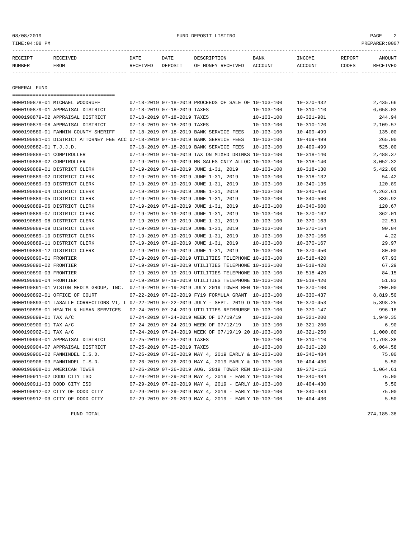#### 08/08/2019 FUND DEPOSIT LISTING PAGE 2

| RECEIPT | <b>RECEIVED</b> | DATE     | DATE    | DESCRIPTION       | <b>BANK</b> | <b>INCOME</b> | REPORT | AMOUNT   |
|---------|-----------------|----------|---------|-------------------|-------------|---------------|--------|----------|
| NUMBER  | FROM            | RECEIVED | DEPOSIT | OF MONEY RECEIVED | ACCOUNT     | ACCOUNT       | CODES  | RECEIVEL |
|         |                 |          |         |                   |             |               |        |          |

GENERAL FUND

|                             | =====================================                                                        |                             |                                                            |                  |                  |           |
|-----------------------------|----------------------------------------------------------------------------------------------|-----------------------------|------------------------------------------------------------|------------------|------------------|-----------|
|                             | 0000190878-01 MICHAEL WOODRUFF                                                               |                             | 07-18-2019 07-18-2019 PROCEEDS OF SALE OF 10-103-100       |                  | $10 - 370 - 432$ | 2,435.66  |
|                             | 0000190879-01 APPRAISAL DISTRICT                                                             | 07-18-2019 07-18-2019 TAXES |                                                            | $10 - 103 - 100$ | $10 - 310 - 110$ | 6,658.03  |
|                             | 0000190879-02 APPRAISAL DISTRICT                                                             | 07-18-2019 07-18-2019 TAXES |                                                            | $10 - 103 - 100$ | $10 - 321 - 901$ | 244.94    |
|                             | 0000190879-08 APPRAISAL DISTRICT                                                             | 07-18-2019 07-18-2019 TAXES |                                                            | $10 - 103 - 100$ | $10 - 310 - 120$ | 2,109.57  |
|                             | 0000190880-01 FANNIN COUNTY SHERIFF                                                          |                             | 07-18-2019 07-18-2019 BANK SERVICE FEES                    | 10-103-100       | $10 - 409 - 499$ | 135.00    |
|                             | 0000190881-01 DISTRICT ATTORNEY FEE ACC 07-18-2019 07-18-2019 BANK SERVICE FEES              |                             |                                                            | $10 - 103 - 100$ | $10 - 409 - 499$ | 265.00    |
| 0000190882-01 T.J.J.D.      |                                                                                              |                             | 07-18-2019 07-18-2019 BANK SERVICE FEES                    | $10 - 103 - 100$ | $10 - 409 - 499$ | 525.00    |
| 0000190888-01 COMPTROLLER   |                                                                                              |                             | 07-19-2019 07-19-2019 TAX ON MIXED DRINKS 10-103-100       |                  | $10 - 318 - 140$ | 2,488.37  |
| 0000190888-02 COMPTROLLER   |                                                                                              |                             | 07-19-2019 07-19-2019 MB SALES CNTY ALLOC 10-103-100       |                  | $10 - 318 - 140$ | 3,052.32  |
|                             | 0000190889-01 DISTRICT CLERK                                                                 |                             | 07-19-2019 07-19-2019 JUNE 1-31, 2019                      | $10 - 103 - 100$ | $10 - 318 - 130$ | 5,422.06  |
|                             | 0000190889-02 DISTRICT CLERK                                                                 |                             | 07-19-2019 07-19-2019 JUNE 1-31, 2019                      | $10 - 103 - 100$ | $10 - 318 - 132$ | 54.42     |
|                             | 0000190889-03 DISTRICT CLERK                                                                 |                             | 07-19-2019 07-19-2019 JUNE 1-31, 2019                      | $10 - 103 - 100$ | $10 - 340 - 135$ | 120.89    |
|                             | 0000190889-04 DISTRICT CLERK                                                                 |                             | 07-19-2019 07-19-2019 JUNE 1-31, 2019                      | $10 - 103 - 100$ | $10 - 340 - 450$ | 4,262.61  |
|                             | 0000190889-05 DISTRICT CLERK                                                                 |                             | 07-19-2019 07-19-2019 JUNE 1-31, 2019                      | $10 - 103 - 100$ | $10 - 340 - 560$ | 336.92    |
|                             | 0000190889-06 DISTRICT CLERK                                                                 |                             | 07-19-2019 07-19-2019 JUNE 1-31, 2019                      | $10 - 103 - 100$ | $10 - 340 - 600$ | 120.67    |
|                             | 0000190889-07 DISTRICT CLERK                                                                 |                             | 07-19-2019 07-19-2019 JUNE 1-31, 2019                      | $10 - 103 - 100$ | $10 - 370 - 162$ | 362.01    |
|                             | 0000190889-08 DISTRICT CLERK                                                                 |                             | 07-19-2019 07-19-2019 JUNE 1-31, 2019                      | $10 - 103 - 100$ | $10 - 370 - 163$ | 22.51     |
|                             | 0000190889-09 DISTRICT CLERK                                                                 |                             | 07-19-2019 07-19-2019 JUNE 1-31, 2019                      | $10 - 103 - 100$ | $10 - 370 - 164$ | 90.04     |
|                             | 0000190889-10 DISTRICT CLERK                                                                 |                             | 07-19-2019 07-19-2019 JUNE 1-31, 2019                      | $10 - 103 - 100$ | $10 - 370 - 166$ | 4.22      |
|                             | 0000190889-11 DISTRICT CLERK                                                                 |                             | 07-19-2019 07-19-2019 JUNE 1-31, 2019                      | $10 - 103 - 100$ | $10 - 370 - 167$ | 29.97     |
|                             | 0000190889-12 DISTRICT CLERK                                                                 |                             | 07-19-2019 07-19-2019 JUNE 1-31, 2019                      | $10 - 103 - 100$ | $10 - 370 - 450$ | 80.00     |
| 0000190890-01 FRONTIER      |                                                                                              |                             | 07-19-2019 07-19-2019 UTILITIES TELEPHONE 10-103-100       |                  | $10 - 518 - 420$ | 67.93     |
| 0000190890-02 FRONTIER      |                                                                                              |                             | 07-19-2019 07-19-2019 UTILITIES TELEPHONE 10-103-100       |                  | $10 - 518 - 420$ | 67.29     |
| 0000190890-03 FRONTIER      |                                                                                              |                             | 07-19-2019 07-19-2019 UTILITIES TELEPHONE 10-103-100       |                  | $10 - 518 - 420$ | 84.15     |
| 0000190890-04 FRONTIER      |                                                                                              |                             | 07-19-2019 07-19-2019 UTILITIES TELEPHONE 10-103-100       |                  | $10 - 518 - 420$ | 51.83     |
|                             | 0000190891-01 VISION MEDIA GROUP, INC. 07-19-2019 07-19-2019 JULY 2019 TOWER REN 10-103-100  |                             |                                                            |                  | $10 - 370 - 100$ | 200.00    |
|                             | 0000190892-01 OFFICE OF COURT                                                                |                             | 07-22-2019 07-22-2019 FY19 FORMULA GRANT 10-103-100        |                  | $10 - 330 - 437$ | 8,819.50  |
|                             | 0000190893-01 LASALLE CORRECTIONS VI, L 07-22-2019 07-22-2019 JULY - SEPT. 2019 O 10-103-100 |                             |                                                            |                  | $10 - 370 - 453$ | 5,398.25  |
|                             | 0000190898-01 HEALTH & HUMAN SERVICES                                                        |                             | 07-24-2019 07-24-2019 UTILITIES REIMBURSE 10-103-100       |                  | $10 - 370 - 147$ | 996.18    |
| 0000190899-01 TAX A/C       |                                                                                              |                             | 07-24-2019 07-24-2019 WEEK OF 07/19/19                     | 10-103-100       | $10 - 321 - 200$ | 1,949.35  |
| 0000190900-01 TAX A/C       |                                                                                              |                             | 07-24-2019 07-24-2019 WEEK OF 07/12/19                     | 10-103-100       | $10 - 321 - 200$ | 6.90      |
| 0000190902-01 TAX A/C       |                                                                                              |                             | 07-24-2019 07-24-2019 WEEK OF 07/19/19 20 10-103-100       |                  | $10 - 321 - 250$ | 1,000.00  |
|                             | 0000190904-01 APPRAISAL DISTRICT                                                             | 07-25-2019 07-25-2019 TAXES |                                                            | $10 - 103 - 100$ | $10 - 310 - 110$ | 11,798.38 |
|                             | 0000190904-07 APPRAISAL DISTRICT                                                             | 07-25-2019 07-25-2019 TAXES |                                                            | 10-103-100       | $10 - 310 - 120$ | 6,064.58  |
|                             | 0000190906-02 FANNINDEL I.S.D.                                                               |                             | 07-26-2019 07-26-2019 MAY 4, 2019 EARLY & 10-103-100       |                  | $10 - 340 - 484$ | 75.00     |
|                             | 0000190906-03 FANNINDEL I.S.D.                                                               |                             | 07-26-2019 07-26-2019 MAY 4, 2019 EARLY & 10-103-100       |                  | $10 - 404 - 430$ | 5.50      |
|                             | 0000190908-01 AMERICAN TOWER                                                                 |                             | 07-26-2019 07-26-2019 AUG. 2019 TOWER REN 10-103-100       |                  | $10 - 370 - 115$ | 1,064.61  |
| 0000190911-02 DODD CITY ISD |                                                                                              |                             | 07-29-2019 07-29-2019 MAY 4, 2019 - EARLY 10-103-100       |                  | $10 - 340 - 484$ | 75.00     |
| 0000190911-03 DODD CITY ISD |                                                                                              |                             | 07-29-2019 07-29-2019 MAY 4, 2019 - EARLY 10-103-100       |                  | $10 - 404 - 430$ | 5.50      |
|                             | 0000190912-02 CITY OF DODD CITY                                                              |                             | 07-29-2019 07-29-2019 MAY 4, 2019 - EARLY 10-103-100       |                  | $10 - 340 - 484$ | 75.00     |
|                             | 0000190912-03 CITY OF DODD CITY                                                              |                             | $07-29-2019$ $07-29-2019$ MAY 4, 2019 - EARLY $10-103-100$ |                  | $10 - 404 - 430$ | 5.50      |

FUND TOTAL 274,185.38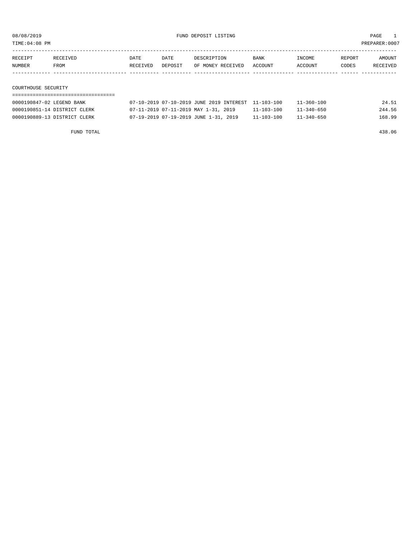TIME:04:08 PM PREPARER:0007

| RECEIPT | RECEIVED | DATE     | DATE    | DESCRIPTION       | <b>BANK</b> | INCOME         | REPORT | AMOUNT   |
|---------|----------|----------|---------|-------------------|-------------|----------------|--------|----------|
| NUMBER  | FROM     | RECEIVED | DEPOSIT | OF MONEY RECEIVED | ACCOUNT     | <b>ACCOUNT</b> | CODES  | RECEIVED |
|         |          |          |         |                   |             |                |        |          |
|         |          |          |         |                   |             |                |        |          |

COURTHOUSE SECURITY ===================================

| 0000190847-02 LEGEND BANK    | 07-10-2019 07-10-2019 JUNE 2019 INTEREST 11-103-100 |                  | $11 - 360 - 100$ | 24.51  |
|------------------------------|-----------------------------------------------------|------------------|------------------|--------|
| 0000190851-14 DISTRICT CLERK | 07-11-2019 07-11-2019 MAY 1-31, 2019                | $11 - 103 - 100$ | 11-340-650       | 244.56 |
| 0000190889-13 DISTRICT CLERK | 07-19-2019 07-19-2019 JUNE 1-31, 2019               | $11 - 103 - 100$ | $11 - 340 - 650$ | 168.99 |

FUND TOTAL 438.06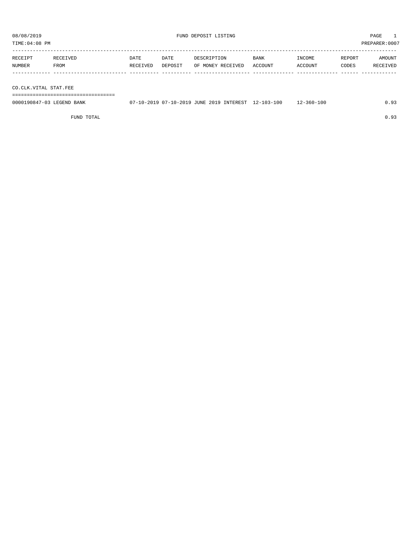TIME:04:08 PM PREPARER:0007

| RECEIPT | RECEIVED    | DATE     | DATE    | DESCRIPTION       | <b>BANK</b> | INCOME  | REPORT | AMOUNT          |
|---------|-------------|----------|---------|-------------------|-------------|---------|--------|-----------------|
| NUMBER  | <b>FROM</b> | RECEIVED | DEPOSIT | OF MONEY RECEIVED | . ACCOUNT   | ACCOUNT | CODES  | <b>RECEIVED</b> |
|         |             |          |         |                   |             |         |        |                 |

CO.CLK.VITAL STAT.FEE

===================================

| 0000190847-03 LEGEND BANK | 07-10-2019 07-10-2019 JUNE 2019 INTEREST 12-103-100 |  | 12-360-100 | 0.93 |
|---------------------------|-----------------------------------------------------|--|------------|------|
|                           |                                                     |  |            |      |

FUND TOTAL  $0.93$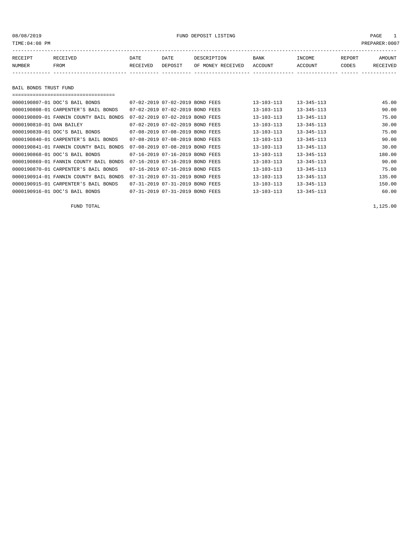#### 08/08/2019 FUND DEPOSIT LISTING PAGE 1

| RECEIPT               | RECEIVED | DATE     | DATE    | DESCRIPTION       | BANK    | INCOME  | REPORT | AMOUNT   |
|-----------------------|----------|----------|---------|-------------------|---------|---------|--------|----------|
| NUMBER                | FROM     | RECEIVED | DEPOSIT | OF MONEY RECEIVED | ACCOUNT | ACCOUNT | CODES  | RECEIVED |
|                       |          |          |         |                   |         |         |        |          |
|                       |          |          |         |                   |         |         |        |          |
| BAIL BONDS TRUST FUND |          |          |         |                   |         |         |        |          |

| ,,,,,,,,,,,,,,,,,,,,,,,,,,,,,,,,,,,,,, |                                 |  |                  |                  |        |
|----------------------------------------|---------------------------------|--|------------------|------------------|--------|
| 0000190807-01 DOC'S BAIL BONDS         | 07-02-2019 07-02-2019 BOND FEES |  | $13 - 103 - 113$ | $13 - 345 - 113$ | 45.00  |
| 0000190808-01 CARPENTER'S BAIL BONDS   | 07-02-2019 07-02-2019 BOND FEES |  | $13 - 103 - 113$ | $13 - 345 - 113$ | 90.00  |
| 0000190809-01 FANNIN COUNTY BAIL BONDS | 07-02-2019 07-02-2019 BOND FEES |  | $13 - 103 - 113$ | $13 - 345 - 113$ | 75.00  |
| 0000190810-01 DAN BAILEY               | 07-02-2019 07-02-2019 BOND FEES |  | $13 - 103 - 113$ | $13 - 345 - 113$ | 30.00  |
| 0000190839-01 DOC'S BAIL BONDS         | 07-08-2019 07-08-2019 BOND FEES |  | $13 - 103 - 113$ | $13 - 345 - 113$ | 75.00  |
| 0000190840-01 CARPENTER'S BAIL BONDS   | 07-08-2019 07-08-2019 BOND FEES |  | $13 - 103 - 113$ | $13 - 345 - 113$ | 90.00  |
| 0000190841-01 FANNIN COUNTY BAIL BONDS | 07-08-2019 07-08-2019 BOND FEES |  | $13 - 103 - 113$ | $13 - 345 - 113$ | 30.00  |
| 0000190868-01 DOC'S BAIL BONDS         | 07-16-2019 07-16-2019 BOND FEES |  | $13 - 103 - 113$ | $13 - 345 - 113$ | 180.00 |
| 0000190869-01 FANNIN COUNTY BAIL BONDS | 07-16-2019 07-16-2019 BOND FEES |  | $13 - 103 - 113$ | $13 - 345 - 113$ | 90.00  |
| 0000190870-01 CARPENTER'S BAIL BONDS   | 07-16-2019 07-16-2019 BOND FEES |  | $13 - 103 - 113$ | $13 - 345 - 113$ | 75.00  |
| 0000190914-01 FANNIN COUNTY BAIL BONDS | 07-31-2019 07-31-2019 BOND FEES |  | $13 - 103 - 113$ | $13 - 345 - 113$ | 135.00 |
| 0000190915-01 CARPENTER'S BAIL BONDS   | 07-31-2019 07-31-2019 BOND FEES |  | $13 - 103 - 113$ | $13 - 345 - 113$ | 150.00 |
| 0000190916-01 DOC'S BAIL BONDS         | 07-31-2019 07-31-2019 BOND FEES |  | $13 - 103 - 113$ | $13 - 345 - 113$ | 60.00  |

FUND TOTAL 1,125.00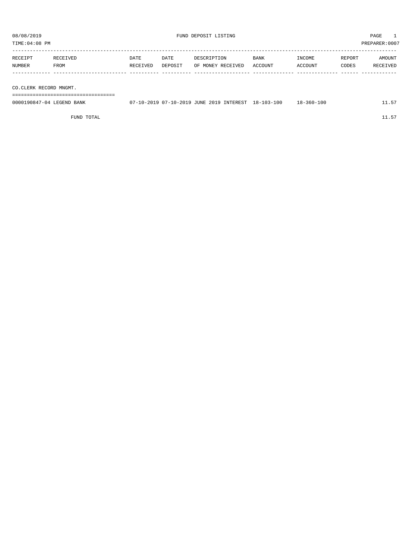| TIME: 04:08 PM         |          |          |         |                   |         |         | PREPARER:0007 |          |
|------------------------|----------|----------|---------|-------------------|---------|---------|---------------|----------|
| RECEIPT                | RECEIVED | DATE     | DATE    | DESCRIPTION       | BANK    | INCOME  | REPORT        | AMOUNT   |
| <b>NUMBER</b>          | FROM     | RECEIVED | DEPOSIT | OF MONEY RECEIVED | ACCOUNT | ACCOUNT | CODES         | RECEIVED |
|                        |          |          |         |                   |         |         |               |          |
| CO.CLERK RECORD MNGMT. |          |          |         |                   |         |         |               |          |
|                        |          |          |         |                   |         |         |               |          |

| 0000190847-04 LEGEND BANK | 07-10-2019 07-10-2019 JUNE 2019 INTEREST 18-103-100 |  | 18-360-100 | 11.57 |
|---------------------------|-----------------------------------------------------|--|------------|-------|
|                           |                                                     |  |            |       |

FUND TOTAL  $11.57$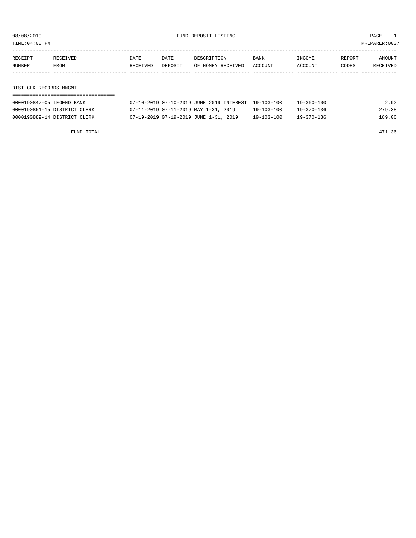08/08/2019 FUND DEPOSIT LISTING PAGE 1

| RECEIPT       | RECEIVED | DATE     | DATE    | DESCRIPTION       | <b>BANK</b> | INCOME         | REPORT | AMOUNT   |
|---------------|----------|----------|---------|-------------------|-------------|----------------|--------|----------|
| <b>NUMBER</b> | FROM     | RECEIVED | DEPOSIT | OF MONEY RECEIVED | ACCOUNT     | <b>ACCOUNT</b> | CODES  | RECEIVED |
|               |          |          |         |                   |             |                |        |          |

DIST.CLK.RECORDS MNGMT.

| 0000190847-05 LEGEND BANK    | 07-10-2019 07-10-2019 JUNE 2019 INTEREST 19-103-100 |                  | 19-360-100       | 2.92   |
|------------------------------|-----------------------------------------------------|------------------|------------------|--------|
| 0000190851-15 DISTRICT CLERK | 07-11-2019 07-11-2019 MAY 1-31, 2019                | $19 - 103 - 100$ | $19 - 370 - 136$ | 279.38 |
| 0000190889-14 DISTRICT CLERK | 07-19-2019 07-19-2019 JUNE 1-31, 2019               | $19 - 103 - 100$ | $19 - 370 - 136$ | 189.06 |

FUND TOTAL 471.36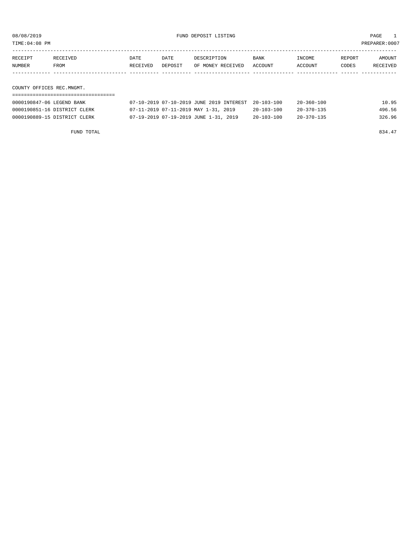08/08/2019 FUND DEPOSIT LISTING PAGE 1

| RECEIPT | RECEIVED | DATE     | DATE    | DESCRIPTION       | <b>BANK</b> | INCOME  | REPORT | <b>AMOUNT</b> |
|---------|----------|----------|---------|-------------------|-------------|---------|--------|---------------|
| NUMBER  | FROM     | RECEIVED | DEPOSIT | OF MONEY RECEIVED | ACCOUNT     | ACCOUNT | CODES  | RECEIVED      |
|         |          |          |         |                   |             |         |        |               |
|         |          |          |         |                   |             |         |        |               |

COUNTY OFFICES REC.MNGMT. ===================================

| 0000190847-06 LEGEND BANK    | 07-10-2019 07-10-2019 JUNE 2019 INTEREST 20-103-100 |                  | $20 - 360 - 100$ | 10.95  |
|------------------------------|-----------------------------------------------------|------------------|------------------|--------|
| 0000190851-16 DISTRICT CLERK | 07-11-2019 07-11-2019 MAY 1-31, 2019                | $20 - 103 - 100$ | $20 - 370 - 135$ | 496.56 |
| 0000190889-15 DISTRICT CLERK | 07-19-2019 07-19-2019 JUNE 1-31, 2019               | $20 - 103 - 100$ | $20 - 370 - 135$ | 326.96 |

FUND TOTAL 834.47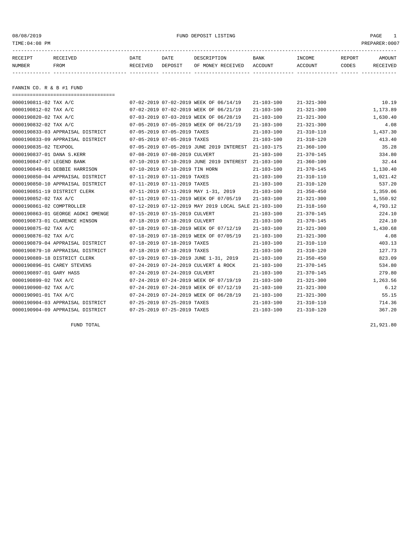08/08/2019 FUND DEPOSIT LISTING PAGE 1

| RECEIPT | RECEIVED | DATE            | DATE    | DESCRIPTION          | <b>BANK</b>    | INCOME  | REPORT       | AMOUNT   |
|---------|----------|-----------------|---------|----------------------|----------------|---------|--------------|----------|
| NUMBER  | FROM     | <b>RECEIVED</b> | DEPOSIT | RECEIVED<br>OF MONEY | <b>ACCOUNT</b> | ACCOUNT | <b>TODES</b> | RECEIVED |
|         |          |                 |         |                      |                |         |              |          |

FANNIN CO. R & B #1 FUND

| ====================================== |                                                      |                  |                  |          |
|----------------------------------------|------------------------------------------------------|------------------|------------------|----------|
| 0000190811-02 TAX A/C                  | 07-02-2019 07-02-2019 WEEK OF 06/14/19               | $21 - 103 - 100$ | $21 - 321 - 300$ | 10.19    |
| 0000190812-02 TAX A/C                  | 07-02-2019 07-02-2019 WEEK OF 06/21/19               | $21 - 103 - 100$ | $21 - 321 - 300$ | 1,173.89 |
| 0000190820-02 TAX A/C                  | 07-03-2019 07-03-2019 WEEK OF 06/28/19               | $21 - 103 - 100$ | $21 - 321 - 300$ | 1,630.40 |
| 0000190832-02 TAX A/C                  | 07-05-2019 07-05-2019 WEEK OF 06/21/19               | $21 - 103 - 100$ | $21 - 321 - 300$ | 4.08     |
| 0000190833-03 APPRAISAL DISTRICT       | 07-05-2019 07-05-2019 TAXES                          | $21 - 103 - 100$ | $21 - 310 - 110$ | 1,437.30 |
| 0000190833-09 APPRAISAL DISTRICT       | 07-05-2019 07-05-2019 TAXES                          | $21 - 103 - 100$ | $21 - 310 - 120$ | 413.40   |
| 0000190835-02 TEXPOOL                  | 07-05-2019 07-05-2019 JUNE 2019 INTEREST             | 21-103-175       | $21 - 360 - 100$ | 35.28    |
| 0000190837-01 DANA S.KERR              | 07-08-2019 07-08-2019 CULVERT                        | $21 - 103 - 100$ | $21 - 370 - 145$ | 334.80   |
| 0000190847-07 LEGEND BANK              | 07-10-2019 07-10-2019 JUNE 2019 INTEREST             | 21-103-100       | $21 - 360 - 100$ | 32.44    |
| 0000190849-01 DEBBIE HARRISON          | 07-10-2019 07-10-2019 TIN HORN                       | $21 - 103 - 100$ | $21 - 370 - 145$ | 1,130.40 |
| 0000190850-04 APPRAISAL DISTRICT       | 07-11-2019 07-11-2019 TAXES                          | $21 - 103 - 100$ | $21 - 310 - 110$ | 1,021.42 |
| 0000190850-10 APPRAISAL DISTRICT       | 07-11-2019 07-11-2019 TAXES                          | $21 - 103 - 100$ | $21 - 310 - 120$ | 537.20   |
| 0000190851-19 DISTRICT CLERK           | 07-11-2019 07-11-2019 MAY 1-31, 2019                 | $21 - 103 - 100$ | $21 - 350 - 450$ | 1,359.06 |
| 0000190852-02 TAX A/C                  | 07-11-2019 07-11-2019 WEEK OF 07/05/19               | $21 - 103 - 100$ | $21 - 321 - 300$ | 1,550.92 |
| 0000190861-02 COMPTROLLER              | 07-12-2019 07-12-2019 MAY 2019 LOCAL SALE 21-103-100 |                  | $21 - 318 - 160$ | 4,793.12 |
| 0000190863-01 GEORGE AGOKI OMENGE      | 07-15-2019 07-15-2019 CULVERT                        | $21 - 103 - 100$ | $21 - 370 - 145$ | 224.10   |
| 0000190873-01 CLARENCE HINSON          | 07-18-2019 07-18-2019 CULVERT                        | $21 - 103 - 100$ | $21 - 370 - 145$ | 224.10   |
| 0000190875-02 TAX A/C                  | 07-18-2019 07-18-2019 WEEK OF 07/12/19               | $21 - 103 - 100$ | $21 - 321 - 300$ | 1,430.68 |
| 0000190876-02 TAX A/C                  | 07-18-2019 07-18-2019 WEEK OF 07/05/19               | $21 - 103 - 100$ | $21 - 321 - 300$ | 4.08     |
| 0000190879-04 APPRAISAL DISTRICT       | 07-18-2019 07-18-2019 TAXES                          | $21 - 103 - 100$ | $21 - 310 - 110$ | 403.13   |
| 0000190879-10 APPRAISAL DISTRICT       | 07-18-2019 07-18-2019 TAXES                          | $21 - 103 - 100$ | $21 - 310 - 120$ | 127.73   |
| 0000190889-18 DISTRICT CLERK           | 07-19-2019 07-19-2019 JUNE 1-31, 2019                | $21 - 103 - 100$ | $21 - 350 - 450$ | 823.09   |
| 0000190896-01 CAREY STEVENS            | 07-24-2019 07-24-2019 CULVERT & ROCK                 | $21 - 103 - 100$ | 21-370-145       | 534.80   |
| 0000190897-01 GARY HASS                | 07-24-2019 07-24-2019 CULVERT                        | $21 - 103 - 100$ | $21 - 370 - 145$ | 279.80   |
| 0000190899-02 TAX A/C                  | 07-24-2019 07-24-2019 WEEK OF 07/19/19               | $21 - 103 - 100$ | $21 - 321 - 300$ | 1,263.56 |
| 0000190900-02 TAX A/C                  | 07-24-2019 07-24-2019 WEEK OF 07/12/19               | $21 - 103 - 100$ | $21 - 321 - 300$ | 6.12     |
| 0000190901-01 TAX A/C                  | 07-24-2019 07-24-2019 WEEK OF 06/28/19               | 21-103-100       | $21 - 321 - 300$ | 55.15    |
| 0000190904-03 APPRAISAL DISTRICT       | 07-25-2019 07-25-2019 TAXES                          | $21 - 103 - 100$ | $21 - 310 - 110$ | 714.36   |
| 0000190904-09 APPRAISAL DISTRICT       | 07-25-2019 07-25-2019 TAXES                          | $21 - 103 - 100$ | $21 - 310 - 120$ | 367.20   |

FUND TOTAL 21,921.80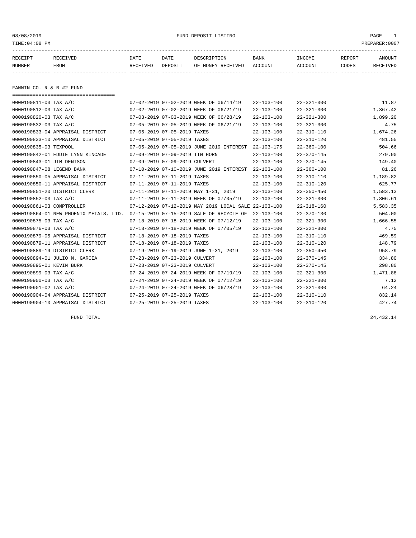08/08/2019 FUND DEPOSIT LISTING PAGE 1

| RECEIPT | RECEIVED | DATE     | DATE    | DESCRIPTION               | BANK | <b>TNCOME</b> | REPORT | AMOUNT   |
|---------|----------|----------|---------|---------------------------|------|---------------|--------|----------|
| NUMBER  | FROM     | RECEIVED | DEPOSIT | OF MONEY RECEIVED ACCOUNT |      | ACCOUNT       | CODES  | RECEIVED |
|         |          |          |         |                           |      |               |        |          |

FANNIN CO. R & B #2 FUND

| =====================================  |                                |                                                      |                  |                  |          |
|----------------------------------------|--------------------------------|------------------------------------------------------|------------------|------------------|----------|
| $0000190811 - 03$ TAX A/C              |                                | 07-02-2019 07-02-2019 WEEK OF 06/14/19               | $22 - 103 - 100$ | $22 - 321 - 300$ | 11.87    |
| 0000190812-03 TAX A/C                  |                                | 07-02-2019 07-02-2019 WEEK OF 06/21/19               | $22 - 103 - 100$ | $22 - 321 - 300$ | 1,367.42 |
| 0000190820-03 TAX A/C                  |                                | 07-03-2019 07-03-2019 WEEK OF 06/28/19               | $22 - 103 - 100$ | $22 - 321 - 300$ | 1,899.20 |
| 0000190832-03 TAX A/C                  |                                | 07-05-2019 07-05-2019 WEEK OF 06/21/19               | $22 - 103 - 100$ | $22 - 321 - 300$ | 4.75     |
| 0000190833-04 APPRAISAL DISTRICT       | 07-05-2019 07-05-2019 TAXES    |                                                      | $22 - 103 - 100$ | $22 - 310 - 110$ | 1,674.26 |
| 0000190833-10 APPRAISAL DISTRICT       | 07-05-2019 07-05-2019 TAXES    |                                                      | $22 - 103 - 100$ | $22 - 310 - 120$ | 481.55   |
| 0000190835-03 TEXPOOL                  |                                | 07-05-2019 07-05-2019 JUNE 2019 INTEREST             | 22-103-175       | $22 - 360 - 100$ | 504.66   |
| 0000190842-01 EDDIE LYNN KINCADE       | 07-09-2019 07-09-2019 TIN HORN |                                                      | $22 - 103 - 100$ | $22 - 370 - 145$ | 279.90   |
| 0000190843-01 JIM DENISON              | 07-09-2019 07-09-2019 CULVERT  |                                                      | $22 - 103 - 100$ | $22 - 370 - 145$ | 149.40   |
| 0000190847-08 LEGEND BANK              |                                | 07-10-2019 07-10-2019 JUNE 2019 INTEREST             | 22-103-100       | $22 - 360 - 100$ | 81.26    |
| 0000190850-05 APPRAISAL DISTRICT       | 07-11-2019 07-11-2019 TAXES    |                                                      | $22 - 103 - 100$ | $22 - 310 - 110$ | 1,189.82 |
| 0000190850-11 APPRAISAL DISTRICT       | 07-11-2019 07-11-2019 TAXES    |                                                      | $22 - 103 - 100$ | $22 - 310 - 120$ | 625.77   |
| 0000190851-20 DISTRICT CLERK           |                                | 07-11-2019 07-11-2019 MAY 1-31, 2019                 | $22 - 103 - 100$ | $22 - 350 - 450$ | 1,583.13 |
| 0000190852-03 TAX A/C                  |                                | 07-11-2019 07-11-2019 WEEK OF 07/05/19               | $22 - 103 - 100$ | $22 - 321 - 300$ | 1,806.61 |
| 0000190861-03 COMPTROLLER              |                                | 07-12-2019 07-12-2019 MAY 2019 LOCAL SALE 22-103-100 |                  | $22 - 318 - 160$ | 5,583.35 |
| 0000190864-01 NEW PHOENIX METALS, LTD. |                                | 07-15-2019 07-15-2019 SALE OF RECYCLE OF             | $22 - 103 - 100$ | $22 - 370 - 130$ | 504.00   |
| 0000190875-03 TAX A/C                  |                                | 07-18-2019 07-18-2019 WEEK OF 07/12/19               | $22 - 103 - 100$ | $22 - 321 - 300$ | 1,666.55 |
| 0000190876-03 TAX A/C                  |                                | 07-18-2019 07-18-2019 WEEK OF 07/05/19               | $22 - 103 - 100$ | $22 - 321 - 300$ | 4.75     |
| 0000190879-05 APPRAISAL DISTRICT       | 07-18-2019 07-18-2019 TAXES    |                                                      | $22 - 103 - 100$ | $22 - 310 - 110$ | 469.59   |
| 0000190879-11 APPRAISAL DISTRICT       | 07-18-2019 07-18-2019 TAXES    |                                                      | $22 - 103 - 100$ | $22 - 310 - 120$ | 148.79   |
| 0000190889-19 DISTRICT CLERK           |                                | 07-19-2019 07-19-2019 JUNE 1-31, 2019                | $22 - 103 - 100$ | $22 - 350 - 450$ | 958.79   |
| 0000190894-01 JULIO M. GARCIA          | 07-23-2019 07-23-2019 CULVERT  |                                                      | $22 - 103 - 100$ | $22 - 370 - 145$ | 334.80   |
| 0000190895-01 KEVIN BURK               | 07-23-2019 07-23-2019 CULVERT  |                                                      | $22 - 103 - 100$ | $22 - 370 - 145$ | 298.80   |
| 0000190899-03 TAX A/C                  |                                | 07-24-2019 07-24-2019 WEEK OF 07/19/19               | $22 - 103 - 100$ | $22 - 321 - 300$ | 1,471.88 |
| 0000190900-03 TAX A/C                  |                                | 07-24-2019 07-24-2019 WEEK OF 07/12/19               | $22 - 103 - 100$ | $22 - 321 - 300$ | 7.12     |
| 0000190901-02 TAX A/C                  |                                | 07-24-2019 07-24-2019 WEEK OF 06/28/19               | $22 - 103 - 100$ | $22 - 321 - 300$ | 64.24    |
| 0000190904-04 APPRAISAL DISTRICT       | 07-25-2019 07-25-2019 TAXES    |                                                      | $22 - 103 - 100$ | $22 - 310 - 110$ | 832.14   |
| 0000190904-10 APPRAISAL DISTRICT       | 07-25-2019 07-25-2019 TAXES    |                                                      | $22 - 103 - 100$ | $22 - 310 - 120$ | 427.74   |

FUND TOTAL 24,432.14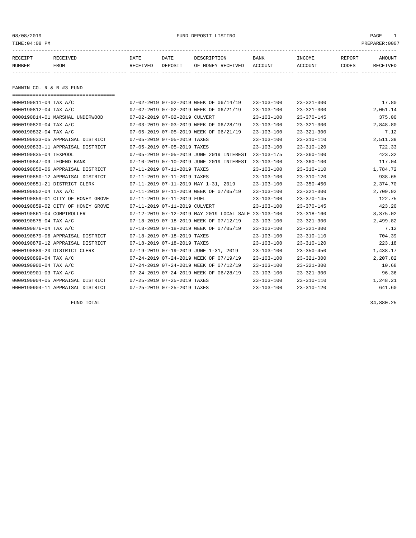#### 08/08/2019 FUND DEPOSIT LISTING PAGE 1

| RECEIPT | <b>RECEIVED</b> | DATE     | DATE    | DESCRIPTION       | <b>BANK</b> | <b>TNCOME</b> | REPORT | AMOUNT          |
|---------|-----------------|----------|---------|-------------------|-------------|---------------|--------|-----------------|
| NUMBER  | <b>FROM</b>     | RECEIVED | DEPOSIT | OF MONEY RECEIVED | ACCOUNT     | ACCOUNT       | CODES  | <b>RECEIVED</b> |
|         |                 |          |         |                   |             |               |        |                 |

FANNIN CO. R & B #3 FUND

| ===================================== |                               |                                                      |                  |                  |          |
|---------------------------------------|-------------------------------|------------------------------------------------------|------------------|------------------|----------|
| 0000190811-04 TAX A/C                 |                               | 07-02-2019 07-02-2019 WEEK OF 06/14/19               | $23 - 103 - 100$ | $23 - 321 - 300$ | 17.80    |
| 0000190812-04 TAX A/C                 |                               | 07-02-2019 07-02-2019 WEEK OF 06/21/19               | $23 - 103 - 100$ | $23 - 321 - 300$ | 2,051.14 |
| 0000190814-01 MARSHAL UNDERWOOD       | 07-02-2019 07-02-2019 CULVERT |                                                      | $23 - 103 - 100$ | $23 - 370 - 145$ | 375.00   |
| 0000190820-04 TAX A/C                 |                               | 07-03-2019 07-03-2019 WEEK OF 06/28/19               | $23 - 103 - 100$ | $23 - 321 - 300$ | 2,848.80 |
| 0000190832-04 TAX A/C                 |                               | 07-05-2019 07-05-2019 WEEK OF 06/21/19               | $23 - 103 - 100$ | $23 - 321 - 300$ | 7.12     |
| 0000190833-05 APPRAISAL DISTRICT      | 07-05-2019 07-05-2019 TAXES   |                                                      | $23 - 103 - 100$ | $23 - 310 - 110$ | 2,511.39 |
| 0000190833-11 APPRAISAL DISTRICT      | 07-05-2019 07-05-2019 TAXES   |                                                      | $23 - 103 - 100$ | $23 - 310 - 120$ | 722.33   |
| 0000190835-04 TEXPOOL                 |                               | 07-05-2019 07-05-2019 JUNE 2019 INTEREST             | $23 - 103 - 175$ | $23 - 360 - 100$ | 423.32   |
| 0000190847-09 LEGEND BANK             |                               | 07-10-2019 07-10-2019 JUNE 2019 INTEREST             | $23 - 103 - 100$ | $23 - 360 - 100$ | 117.04   |
| 0000190850-06 APPRAISAL DISTRICT      | 07-11-2019 07-11-2019 TAXES   |                                                      | $23 - 103 - 100$ | $23 - 310 - 110$ | 1,784.72 |
| 0000190850-12 APPRAISAL DISTRICT      | 07-11-2019 07-11-2019 TAXES   |                                                      | $23 - 103 - 100$ | $23 - 310 - 120$ | 938.65   |
| 0000190851-21 DISTRICT CLERK          |                               | 07-11-2019 07-11-2019 MAY 1-31, 2019                 | $23 - 103 - 100$ | $23 - 350 - 450$ | 2,374.70 |
| 0000190852-04 TAX A/C                 |                               | 07-11-2019 07-11-2019 WEEK OF 07/05/19               | $23 - 103 - 100$ | $23 - 321 - 300$ | 2,709.92 |
| 0000190859-01 CITY OF HONEY GROVE     | 07-11-2019 07-11-2019 FUEL    |                                                      | $23 - 103 - 100$ | $23 - 370 - 145$ | 122.75   |
| 0000190859-02 CITY OF HONEY GROVE     | 07-11-2019 07-11-2019 CULVERT |                                                      | $23 - 103 - 100$ | $23 - 370 - 145$ | 423.20   |
| 0000190861-04 COMPTROLLER             |                               | 07-12-2019 07-12-2019 MAY 2019 LOCAL SALE 23-103-100 |                  | $23 - 318 - 160$ | 8,375.02 |
| 0000190875-04 TAX A/C                 |                               | 07-18-2019 07-18-2019 WEEK OF 07/12/19               | $23 - 103 - 100$ | $23 - 321 - 300$ | 2,499.82 |
| 0000190876-04 TAX A/C                 |                               | 07-18-2019 07-18-2019 WEEK OF 07/05/19               | $23 - 103 - 100$ | $23 - 321 - 300$ | 7.12     |
| 0000190879-06 APPRAISAL DISTRICT      | 07-18-2019 07-18-2019 TAXES   |                                                      | $23 - 103 - 100$ | $23 - 310 - 110$ | 704.39   |
| 0000190879-12 APPRAISAL DISTRICT      | 07-18-2019 07-18-2019 TAXES   |                                                      | $23 - 103 - 100$ | $23 - 310 - 120$ | 223.18   |
| 0000190889-20 DISTRICT CLERK          |                               | 07-19-2019 07-19-2019 JUNE 1-31, 2019                | $23 - 103 - 100$ | $23 - 350 - 450$ | 1,438.17 |
| 0000190899-04 TAX A/C                 |                               | 07-24-2019 07-24-2019 WEEK OF 07/19/19               | $23 - 103 - 100$ | $23 - 321 - 300$ | 2,207.82 |
| 0000190900-04 TAX A/C                 |                               | 07-24-2019 07-24-2019 WEEK OF 07/12/19               | $23 - 103 - 100$ | $23 - 321 - 300$ | 10.68    |
| 0000190901-03 TAX A/C                 |                               | 07-24-2019 07-24-2019 WEEK OF 06/28/19               | $23 - 103 - 100$ | $23 - 321 - 300$ | 96.36    |
| 0000190904-05 APPRAISAL DISTRICT      | 07-25-2019 07-25-2019 TAXES   |                                                      | $23 - 103 - 100$ | $23 - 310 - 110$ | 1,248.21 |
| 0000190904-11 APPRAISAL DISTRICT      | 07-25-2019 07-25-2019 TAXES   |                                                      | $23 - 103 - 100$ | $23 - 310 - 120$ | 641.60   |

FUND TOTAL 34,880.25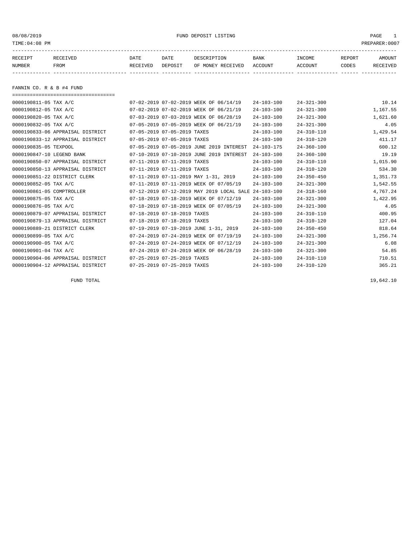08/08/2019 FUND DEPOSIT LISTING PAGE 1

| RECEIPT | <b>RECEIVED</b> | DATE     | DATE    | DESCRIPTION          | <b>BANK</b>    | INCOME  | <b>REPORT</b> | AMOUNT          |
|---------|-----------------|----------|---------|----------------------|----------------|---------|---------------|-----------------|
| NUMBER  | FROM            | RECEIVED | DEPOSIT | RECEIVED<br>OF MONEY | <b>ACCOUNT</b> | ACCOUNT | CODES         | <b>RECEIVED</b> |
|         |                 |          |         |                      |                |         |               |                 |

FANNIN CO. R & B #4 FUND

| ===================================== |                             |                                           |                  |                  |          |
|---------------------------------------|-----------------------------|-------------------------------------------|------------------|------------------|----------|
| 0000190811-05 TAX A/C                 |                             | 07-02-2019 07-02-2019 WEEK OF 06/14/19    | $24 - 103 - 100$ | $24 - 321 - 300$ | 10.14    |
| 0000190812-05 TAX A/C                 |                             | 07-02-2019 07-02-2019 WEEK OF 06/21/19    | $24 - 103 - 100$ | $24 - 321 - 300$ | 1,167.55 |
| 0000190820-05 TAX A/C                 |                             | 07-03-2019 07-03-2019 WEEK OF 06/28/19    | $24 - 103 - 100$ | $24 - 321 - 300$ | 1,621.60 |
| 0000190832-05 TAX A/C                 |                             | 07-05-2019 07-05-2019 WEEK OF 06/21/19    | $24 - 103 - 100$ | $24 - 321 - 300$ | 4.05     |
| 0000190833-06 APPRAISAL DISTRICT      | 07-05-2019 07-05-2019 TAXES |                                           | $24 - 103 - 100$ | $24 - 310 - 110$ | 1,429.54 |
| 0000190833-12 APPRAISAL DISTRICT      | 07-05-2019 07-05-2019 TAXES |                                           | $24 - 103 - 100$ | $24 - 310 - 120$ | 411.17   |
| 0000190835-05 TEXPOOL                 |                             | 07-05-2019 07-05-2019 JUNE 2019 INTEREST  | $24 - 103 - 175$ | $24 - 360 - 100$ | 600.12   |
| 0000190847-10 LEGEND BANK             |                             | 07-10-2019 07-10-2019 JUNE 2019 INTEREST  | $24 - 103 - 100$ | $24 - 360 - 100$ | 19.19    |
| 0000190850-07 APPRAISAL DISTRICT      | 07-11-2019 07-11-2019 TAXES |                                           | $24 - 103 - 100$ | $24 - 310 - 110$ | 1,015.90 |
| 0000190850-13 APPRAISAL DISTRICT      | 07-11-2019 07-11-2019 TAXES |                                           | $24 - 103 - 100$ | $24 - 310 - 120$ | 534.30   |
| 0000190851-22 DISTRICT CLERK          |                             | 07-11-2019 07-11-2019 MAY 1-31, 2019      | $24 - 103 - 100$ | $24 - 350 - 450$ | 1,351.73 |
| 0000190852-05 TAX A/C                 |                             | 07-11-2019 07-11-2019 WEEK OF 07/05/19    | $24 - 103 - 100$ | $24 - 321 - 300$ | 1,542.55 |
| 0000190861-05 COMPTROLLER             |                             | 07-12-2019 07-12-2019 MAY 2019 LOCAL SALE | $24 - 103 - 100$ | $24 - 318 - 160$ | 4,767.24 |
| 0000190875-05 TAX A/C                 |                             | 07-18-2019 07-18-2019 WEEK OF 07/12/19    | $24 - 103 - 100$ | $24 - 321 - 300$ | 1,422.95 |
| 0000190876-05 TAX A/C                 |                             | 07-18-2019 07-18-2019 WEEK OF 07/05/19    | $24 - 103 - 100$ | $24 - 321 - 300$ | 4.05     |
| 0000190879-07 APPRAISAL DISTRICT      | 07-18-2019 07-18-2019 TAXES |                                           | $24 - 103 - 100$ | $24 - 310 - 110$ | 400.95   |
| 0000190879-13 APPRAISAL DISTRICT      | 07-18-2019 07-18-2019 TAXES |                                           | $24 - 103 - 100$ | $24 - 310 - 120$ | 127.04   |
| 0000190889-21 DISTRICT CLERK          |                             | 07-19-2019 07-19-2019 JUNE 1-31, 2019     | $24 - 103 - 100$ | $24 - 350 - 450$ | 818.64   |
| 0000190899-05 TAX A/C                 |                             | 07-24-2019 07-24-2019 WEEK OF 07/19/19    | $24 - 103 - 100$ | $24 - 321 - 300$ | 1,256.74 |
| 0000190900-05 TAX A/C                 |                             | 07-24-2019 07-24-2019 WEEK OF 07/12/19    | $24 - 103 - 100$ | $24 - 321 - 300$ | 6.08     |
| 0000190901-04 TAX A/C                 |                             | 07-24-2019 07-24-2019 WEEK OF 06/28/19    | $24 - 103 - 100$ | $24 - 321 - 300$ | 54.85    |
| 0000190904-06 APPRAISAL DISTRICT      | 07-25-2019 07-25-2019 TAXES |                                           | $24 - 103 - 100$ | $24 - 310 - 110$ | 710.51   |
| 0000190904-12 APPRAISAL DISTRICT      | 07-25-2019 07-25-2019 TAXES |                                           | $24 - 103 - 100$ | $24 - 310 - 120$ | 365.21   |

FUND TOTAL  $19,642.10$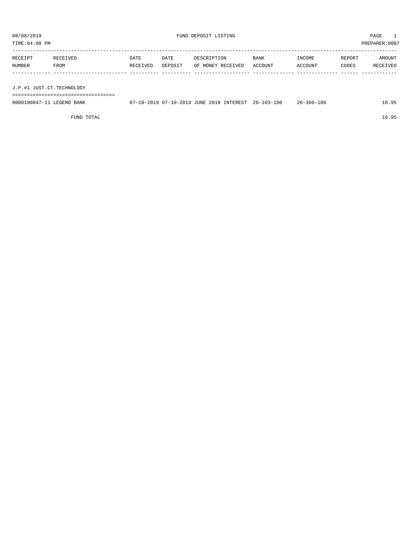TIME:04:08 PM PREPARER:0007

| RECEIPT                   | RECEIVED | DATE     | DATE    | DESCRIPTION       | <b>BANK</b> | INCOME         | REPORT | AMOUNT   |
|---------------------------|----------|----------|---------|-------------------|-------------|----------------|--------|----------|
| NUMBER                    | FROM     | RECEIVED | DEPOSIT | OF MONEY RECEIVED | ACCOUNT     | <b>ACCOUNT</b> | CODES  | RECEIVED |
|                           |          |          |         |                   |             |                |        |          |
|                           |          |          |         |                   |             |                |        |          |
| J.P.#1 JUST.CT.TECHNOLOGY |          |          |         |                   |             |                |        |          |

===================================

| 07-10-2019 JUNE |                                       |                      |               |                  |                           |              |
|-----------------|---------------------------------------|----------------------|---------------|------------------|---------------------------|--------------|
|                 | 0000190847-<br>LEGEND.<br><b>BANK</b> | $07 - 10 - 2019$ 07- | 2019 INTEREST | $26 - 103 - 100$ | 360-100<br>$26 - 360 - 3$ | QE<br>ـ< 10. |

FUND TOTAL 10.95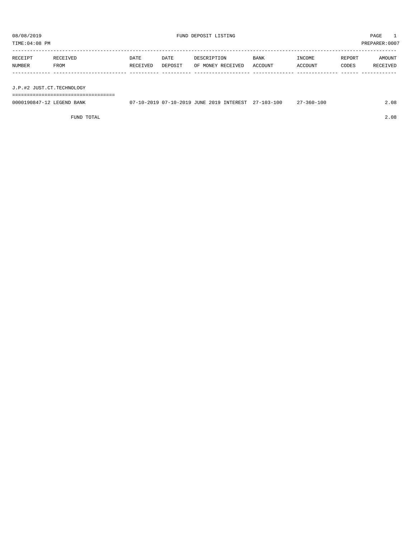TIME:04:08 PM PREPARER:0007 -----------------------------------------------------------------------------------------------------------------------------------

| RECEIPT | RECEIVED | DATE     | DATE | DESCRIPTION                       | <b>BANK</b> | INCOME  | REPORT | AMOUNT   |
|---------|----------|----------|------|-----------------------------------|-------------|---------|--------|----------|
| NUMBER  | FROM     | RECEIVED |      | DEPOSIT OF MONEY RECEIVED ACCOUNT |             | ACCOUNT | CODES  | RECEIVED |
|         |          |          |      |                                   |             |         |        |          |
|         |          |          |      |                                   |             |         |        |          |

J.P.#2 JUST.CT.TECHNOLOGY

===================================

| 0000190847-12 LEGEND BANK |  |  | 07-10-2019 07-10-2019 JUNE 2019 INTEREST 27-103-100 | $27 - 360 - 100$ | 2.08 |
|---------------------------|--|--|-----------------------------------------------------|------------------|------|
|                           |  |  |                                                     |                  |      |

FUND TOTAL 2.08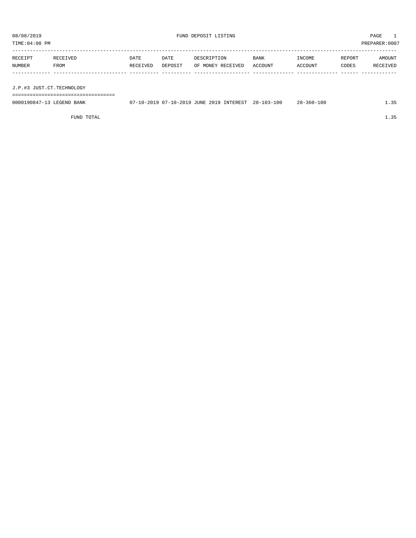TIME:04:08 PM PREPARER:0007

| RECEIPT | RECEIVED | DATE     | DATE    | DESCRIPTION       | <b>BANK</b> | INCOME  | REPORT | AMOUNT   |
|---------|----------|----------|---------|-------------------|-------------|---------|--------|----------|
| NUMBER  | FROM     | RECEIVED | DEPOSIT | OF MONEY RECEIVED | ACCOUNT     | ACCOUNT | CODES  | RECEIVED |
|         |          |          |         |                   |             |         |        |          |
|         |          |          |         |                   |             |         |        |          |

J.P.#3 JUST.CT.TECHNOLOGY

===================================

| 0000190847-13 LEGEND BANK | 07-10-2019 07-10-2019 JUNE 2019 INTEREST 28-103-100 |  | 28-360-100 | 1.35 |
|---------------------------|-----------------------------------------------------|--|------------|------|
|                           |                                                     |  |            |      |

FUND TOTAL  $1.35$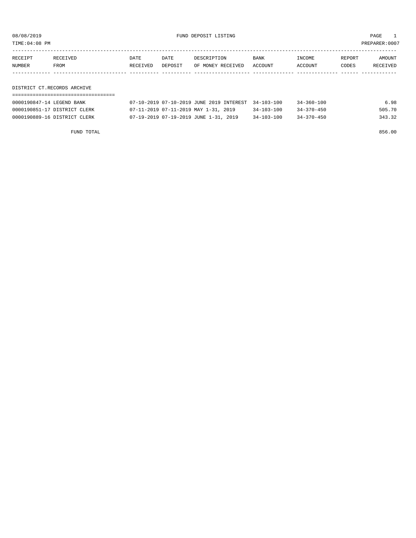08/08/2019 FUND DEPOSIT LISTING PAGE 1

| RECEIPT | <b>RECEIVED</b> | DATE            | DATE    | DESCRIPTION       | BANK    | INCOME         | REPORT | AMOUNT          |
|---------|-----------------|-----------------|---------|-------------------|---------|----------------|--------|-----------------|
| NUMBER  | FROM            | <b>RECEIVED</b> | DEPOSIT | OF MONEY RECEIVED | ACCOUNT | <b>ACCOUNT</b> | CODES  | <b>RECEIVED</b> |
|         |                 |                 |         |                   |         |                |        |                 |

DISTRICT CT.RECORDS ARCHIVE

| 0000190847-14 LEGEND BANK    | 07-10-2019 07-10-2019 JUNE 2019 INTEREST 34-103-100 |                  | $34 - 360 - 100$ | 6.98   |
|------------------------------|-----------------------------------------------------|------------------|------------------|--------|
| 0000190851-17 DISTRICT CLERK | 07-11-2019 07-11-2019 MAY 1-31, 2019                | $34 - 103 - 100$ | $34 - 370 - 450$ | 505.70 |
| 0000190889-16 DISTRICT CLERK | 07-19-2019 07-19-2019 JUNE 1-31, 2019               | $34 - 103 - 100$ | $34 - 370 - 450$ | 343.32 |

FUND TOTAL 856.00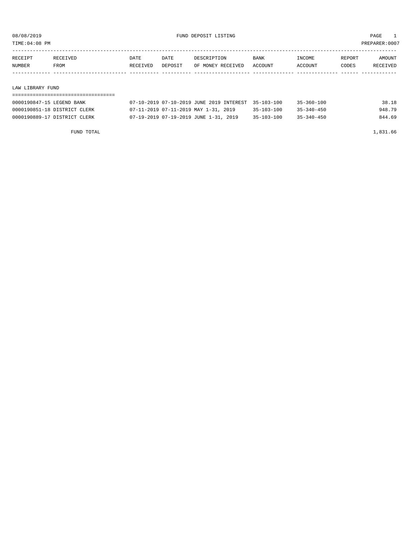TIME:04:08 PM PREPARER:0007

| RECEIPT | RECEIVED | DATE     | DATE    | DESCRIPTION       | <b>BANK</b> | INCOME  | REPORT | AMOUNT   |
|---------|----------|----------|---------|-------------------|-------------|---------|--------|----------|
| NUMBER  | FROM     | RECEIVED | DEPOSIT | OF MONEY RECEIVED | ACCOUNT     | ACCOUNT | CODES  | RECEIVED |
|         |          |          |         |                   |             |         |        |          |
|         |          |          |         |                   |             |         |        |          |

#### LAW LIBRARY FUND

| 0000190847-15 LEGEND BANK    | 07-10-2019 07-10-2019 JUNE 2019 INTEREST 35-103-100 |                  | 35-360-100       | 38.18  |
|------------------------------|-----------------------------------------------------|------------------|------------------|--------|
| 0000190851-18 DISTRICT CLERK | 07-11-2019 07-11-2019 MAY 1-31, 2019                | 35-103-100       | $35 - 340 - 450$ | 948.79 |
| 0000190889-17 DISTRICT CLERK | 07-19-2019 07-19-2019 JUNE 1-31, 2019               | $35 - 103 - 100$ | $35 - 340 - 450$ | 844.69 |

FUND TOTAL 1,831.66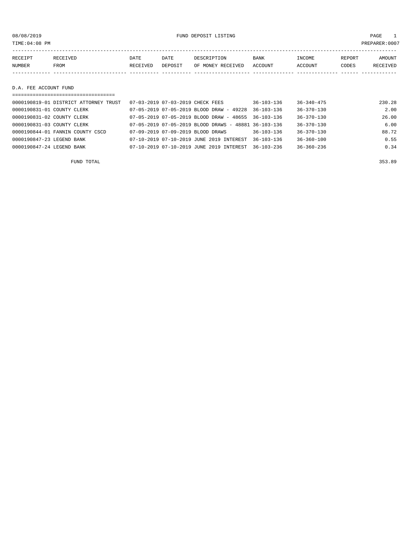08/08/2019 FUND DEPOSIT LISTING PAGE 1

| RECEIPT | RECEIVED | DATE     | DATE    | DESCRIPTION               | <b>BANK</b> | INCOME  | REPORT | AMOUNT   |
|---------|----------|----------|---------|---------------------------|-------------|---------|--------|----------|
| NUMBER  | FROM     | RECEIVED | DEPOSIT | OF MONEY RECEIVED ACCOUNT |             | ACCOUNT | CODES  | RECEIVED |
|         |          |          |         |                           |             |         |        |          |
|         |          |          |         |                           |             |         |        |          |

#### D.A. FEE ACCOUNT FUND

|                            | -----------------------------------   |                                  |                                                         |                  |                  |        |
|----------------------------|---------------------------------------|----------------------------------|---------------------------------------------------------|------------------|------------------|--------|
|                            | 0000190819-01 DISTRICT ATTORNEY TRUST | 07-03-2019 07-03-2019 CHECK FEES |                                                         | $36 - 103 - 136$ | $36 - 340 - 475$ | 230.28 |
| 0000190831-01 COUNTY CLERK |                                       |                                  | $07-05-2019$ $07-05-2019$ BLOOD DRAW - 49228            | $36 - 103 - 136$ | $36 - 370 - 130$ | 2.00   |
| 0000190831-02 COUNTY CLERK |                                       |                                  | $07-05-2019$ $07-05-2019$ BLOOD DRAW - 48655 36-103-136 |                  | 36-370-130       | 26.00  |
| 0000190831-03 COUNTY CLERK |                                       |                                  | 07-05-2019 07-05-2019 BLOOD DRAWS - 48881 36-103-136    |                  | $36 - 370 - 130$ | 6.00   |
|                            | 0000190844-01 FANNIN COUNTY CSCD      |                                  | 07-09-2019 07-09-2019 BLOOD DRAWS                       | $36 - 103 - 136$ | $36 - 370 - 130$ | 88.72  |
| 0000190847-23 LEGEND BANK  |                                       |                                  | 07-10-2019 07-10-2019 JUNE 2019 INTEREST                | $36 - 103 - 136$ | $36 - 360 - 100$ | 0.55   |
| 0000190847-24 LEGEND BANK  |                                       |                                  | 07-10-2019 07-10-2019 JUNE 2019 INTEREST                | $36 - 103 - 236$ | $36 - 360 - 236$ | 0.34   |

FUND TOTAL 353.89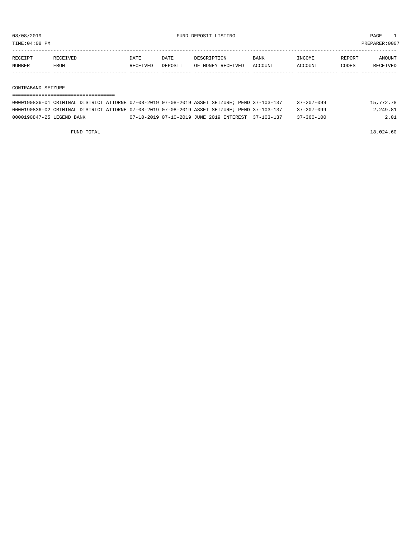TIME:04:08 PM PREPARER:0007

| <b>RECEIPT</b> | <b>RECEIVED</b> | DATE     | DATE    | DESCRIPTION       | <b>BANK</b>    | NCOME <sup>-</sup> | REPORT | <b>AMOUNT</b>   |
|----------------|-----------------|----------|---------|-------------------|----------------|--------------------|--------|-----------------|
| NUMBER         | FROM            | RECEIVED | DEPOSIT | OF MONEY RECEIVED | <b>ACCOUNT</b> | CCOUNT             | CODES  | <b>RECEIVED</b> |
|                |                 |          |         |                   |                |                    |        |                 |

CONTRABAND SEIZURE

=================================== 0000190836-01 CRIMINAL DISTRICT ATTORNE 07-08-2019 07-08-2019 ASSET SEIZURE; PEND 37-103-137 37-207-099 15,772.78 0000190836-02 CRIMINAL DISTRICT ATTORNE 07-08-2019 07-08-2019 ASSET SEIZURE; PEND 37-103-137 37-207-099 2,249.81 0000190847-25 LEGEND BANK 07-10-2019 07-10-2019 JUNE 2019 INTEREST 37-103-137 37-360-100 2.01

FUND TOTAL 18,024.60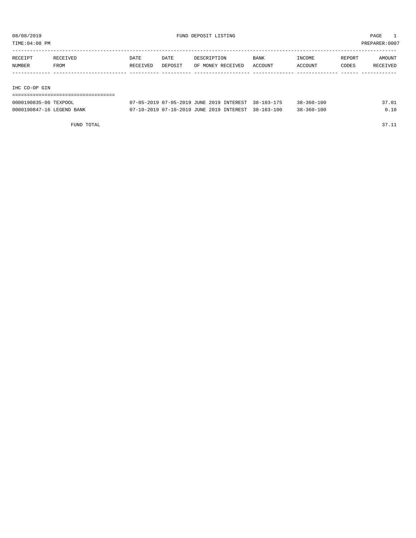TIME:04:08 PM PREPARER:0007

| RECEIPT | RECEIVED | DATE     | DATE    | DESCRIPTION       | BANK    | INCOME  | REPORT | AMOUNT   |
|---------|----------|----------|---------|-------------------|---------|---------|--------|----------|
| NUMBER  | FROM     | RECEIVED | DEPOSIT | OF MONEY RECEIVED | ACCOUNT | ACCOUNT | CODES  | RECEIVED |
|         |          |          |         |                   |         |         |        |          |
|         |          |          |         |                   |         |         |        |          |

#### IHC CO-OP GIN

| -------------------------------------<br>----------------------------------- |                                                                                                   |                  |                  |     |
|------------------------------------------------------------------------------|---------------------------------------------------------------------------------------------------|------------------|------------------|-----|
| 0000190835-06 TEXPOOL                                                        | 2019<br>$\sim$ $\sim$<br>$07 - 05 - 2019$<br>INTEREST<br>$7 - 05 - 2019$<br><b>JUNE</b><br>$\cap$ | $38 - 103 - 175$ | $38 - 360 - 100$ | .01 |

| 0000190847-16 LEGEND BANK |  | 07-10-2019 07-10-2019 JUNE 2019 INTEREST 38-103-100 |  | $38 - 360 - 100$ | 0.10 |
|---------------------------|--|-----------------------------------------------------|--|------------------|------|
|---------------------------|--|-----------------------------------------------------|--|------------------|------|

FUND TOTAL 37.11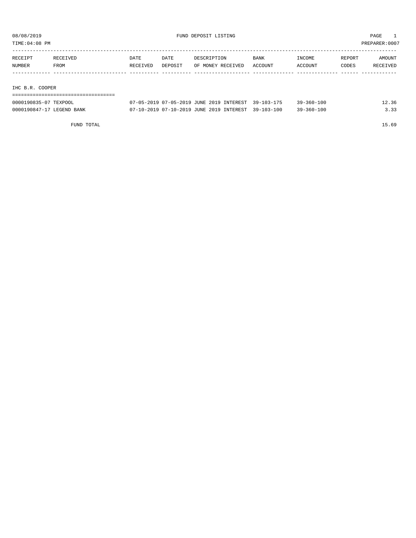TIME:04:08 PM PREPARER:0007

| RECEIPT         | RECEIVED | DATE     | DATE    | DESCRIPTION       | BANK    | INCOME  | REPORT | AMOUNT   |
|-----------------|----------|----------|---------|-------------------|---------|---------|--------|----------|
| NUMBER          | FROM     | RECEIVED | DEPOSIT | OF MONEY RECEIVED | ACCOUNT | ACCOUNT | CODES  | RECEIVED |
|                 |          |          |         |                   |         |         |        |          |
|                 |          |          |         |                   |         |         |        |          |
| _____ _ _ _ _ _ |          |          |         |                   |         |         |        |          |

IHC B.R. COOPER

| ================================= |                                                     |                  |       |
|-----------------------------------|-----------------------------------------------------|------------------|-------|
| 0000190835-07 TEXPOOL             | 07-05-2019 07-05-2019 JUNE 2019 INTEREST 39-103-175 | $39 - 360 - 100$ | 12.36 |
| 0000190847-17 LEGEND BANK         | 07-10-2019 07-10-2019 JUNE 2019 INTEREST 39-103-100 | $39 - 360 - 100$ | 3.33  |

FUND TOTAL 15.69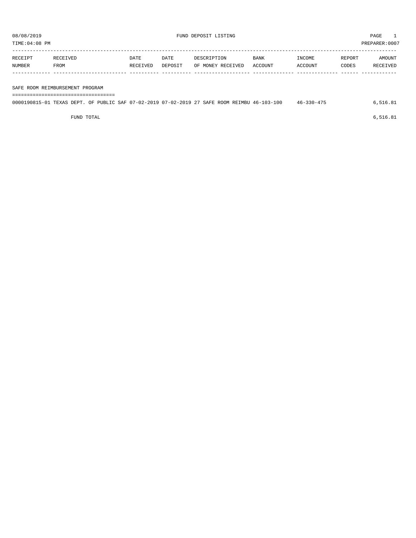TIME:04:08 PM PREPARER:0007

| RECEIPT       | RECEIVED | DATE     | <b>DATE</b> | DESCRIPTION       | <b>BANK</b> | INCOME  | REPORT | AMOUNT   |
|---------------|----------|----------|-------------|-------------------|-------------|---------|--------|----------|
| <b>NUMBER</b> | FROM     | RECEIVED | DEPOSIT     | OF MONEY RECEIVED | ACCOUNT     | ACCOUNT | CODES  | RECEIVED |
|               |          |          |             |                   |             |         |        |          |
|               |          |          |             |                   |             |         |        |          |

#### SAFE ROOM REIMBURSEMENT PROGRAM

===================================

| 0000190815-01 TEXAS DEPT. OF PUBLIC SAF 07-02-2019 07-02-2019 27 SAFE ROOM REIMBU 46-103-100 |  |  |  |  |  |  |  | 46-330-475 | 6.516.81 |
|----------------------------------------------------------------------------------------------|--|--|--|--|--|--|--|------------|----------|
|                                                                                              |  |  |  |  |  |  |  |            |          |

FUND TOTAL  $6,516.81$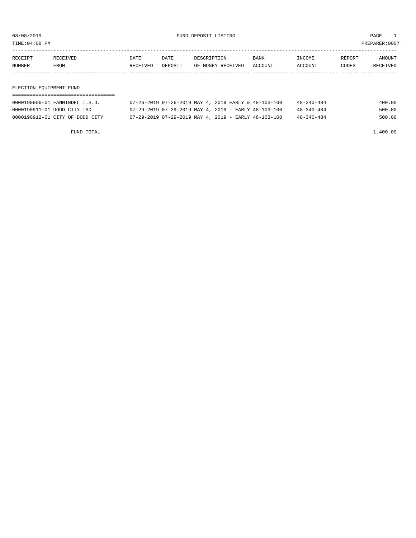08/08/2019 FUND DEPOSIT LISTING PAGE 1

| RECEIPT | <b>RECEIVED</b> | DATE            | DATE    | DESCRIPTION       | <b>BANK</b> | INCOME  | REPORT | AMOUNT          |
|---------|-----------------|-----------------|---------|-------------------|-------------|---------|--------|-----------------|
| NUMBER  | FROM            | <b>RECEIVED</b> | DEPOSIT | OF MONEY RECEIVED | ACCOUNT     | ACCOUNT | CODES  | <b>RECEIVED</b> |
|         |                 |                 |         |                   |             |         |        |                 |

#### ELECTION EQUIPMENT FUND

| 0000190906-01 FANNINDEL I.S.D.  |  |  | $07-26-2019$ $07-26-2019$ MAY 4, 2019 EARLY & 48-103-100 | $48 - 340 - 484$ | 400.00 |
|---------------------------------|--|--|----------------------------------------------------------|------------------|--------|
| 0000190911-01 DODD CITY ISD     |  |  | $07-29-2019$ $07-29-2019$ MAY 4, 2019 - EARLY 48-103-100 | $48 - 340 - 484$ | 500.00 |
| 0000190912-01 CITY OF DODD CITY |  |  | 07-29-2019 07-29-2019 MAY 4, 2019 - EARLY 48-103-100     | $48 - 340 - 484$ | 500.00 |

FUND TOTAL 1,400.00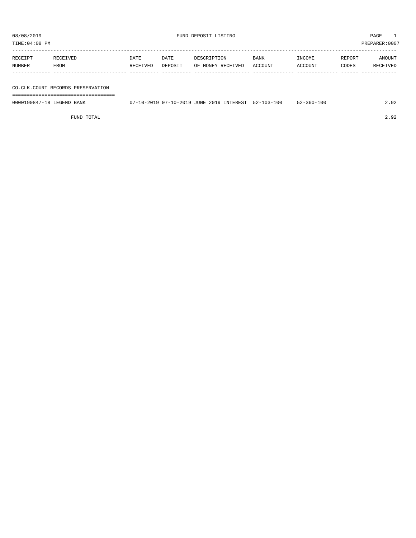TIME:04:08 PM PREPARER:0007

| RECEIPT       | <b>RECEIVED</b> | DATE     | DATE    | DESCRIPTION       | <b>BANK</b> | <b>TNCOME</b> | REPORT | AMOUNT   |
|---------------|-----------------|----------|---------|-------------------|-------------|---------------|--------|----------|
| <b>NUMBER</b> | FROM            | RECEIVED | DEPOSIT | OF MONEY RECEIVED | ACCOUNT     | ACCOUNT       | CODES  | RECEIVED |
|               |                 |          |         |                   |             |               |        |          |

#### CO.CLK.COURT RECORDS PRESERVATION

===================================

0000190847-18 LEGEND BANK 07-10-2019 07-10-2019 JUNE 2019 INTEREST 52-103-100 52-360-100 2.92

FUND TOTAL 2.92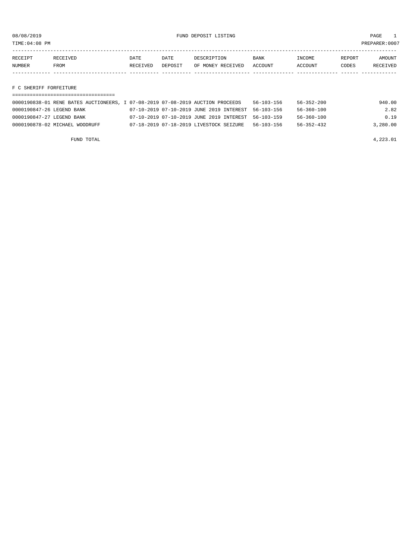TIME:04:08 PM PREPARER:0007

| RECEIPT | <b>RECEIVED</b> | DATE            | DATE    | DESCRIPTION       | <b>BANK</b> | <b>INCOME</b> | REPORT | AMOUNT          |
|---------|-----------------|-----------------|---------|-------------------|-------------|---------------|--------|-----------------|
| NUMBER  | FROM            | <b>RECEIVED</b> | DEPOSIT | OF MONEY RECEIVED | ACCOUNT     | ACCOUNT       | CODES  | <b>RECEIVED</b> |
|         |                 |                 |         |                   |             |               |        |                 |

F C SHERIFF FORFEITURE

| 0000190838-01 RENE BATES AUCTIONEERS, I 07-08-2019 07-08-2019 AUCTION PROCEEDS |                                                     | $56 - 103 - 156$ | 56-352-200       | 940.00   |
|--------------------------------------------------------------------------------|-----------------------------------------------------|------------------|------------------|----------|
| 0000190847-26 LEGEND BANK                                                      | 07-10-2019 07-10-2019 JUNE 2019 INTEREST 56-103-156 |                  | 56-360-100       | 2.82     |
| 0000190847-27 LEGEND BANK                                                      | 07-10-2019 07-10-2019 JUNE 2019 INTEREST 56-103-159 |                  | $56 - 360 - 100$ | 0.19     |
| 0000190878-02 MICHAEL WOODRUFF                                                 | 07-18-2019 07-18-2019 LIVESTOCK SEIZURE             | 56-103-156       | $56 - 352 - 432$ | 3.280.00 |

FUND TOTAL  $4,223.01$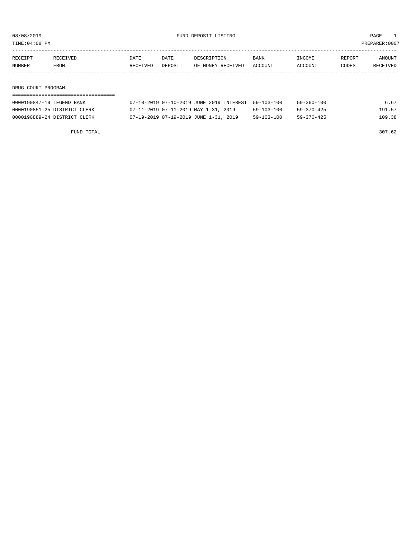TIME:04:08 PM PREPARER:0007

| RECEIPT | RECEIVED | DATE     | DATE    | DESCRIPTION       | <b>BANK</b> | INCOME  | REPORT | AMOUNT   |
|---------|----------|----------|---------|-------------------|-------------|---------|--------|----------|
| NUMBER  | FROM     | RECEIVED | DEPOSIT | OF MONEY RECEIVED | ACCOUNT     | ACCOUNT | CODES  | RECEIVED |
|         |          |          |         |                   |             |         |        |          |
|         |          |          |         |                   |             |         |        |          |

#### DRUG COURT PROGRAM

| 0000190847-19 LEGEND BANK    | 07-10-2019 07-10-2019 JUNE 2019 INTEREST 59-103-100 |            | 59-360-100 | 6.67   |
|------------------------------|-----------------------------------------------------|------------|------------|--------|
| 0000190851-25 DISTRICT CLERK | 07-11-2019 07-11-2019 MAY 1-31, 2019                | 59-103-100 | 59-370-425 | 191.57 |
| 0000190889-24 DISTRICT CLERK | 07-19-2019 07-19-2019 JUNE 1-31, 2019               | 59-103-100 | 59-370-425 | 109.38 |

FUND TOTAL 307.62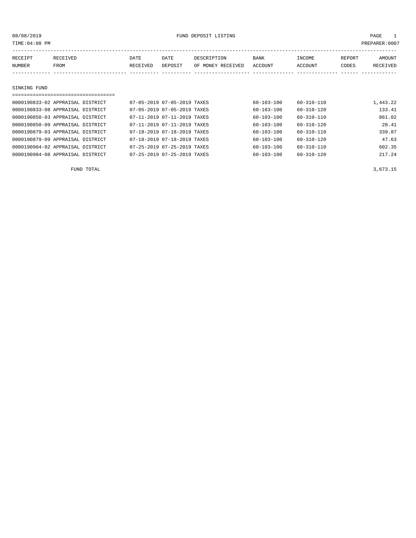08/08/2019 **PAGE** 1

| TIME:04:08 PM                    |          |                             |                             |                   |                  |                  |        | PREPARER: 0007 |
|----------------------------------|----------|-----------------------------|-----------------------------|-------------------|------------------|------------------|--------|----------------|
| RECEIPT                          | RECEIVED | DATE                        | DATE                        | DESCRIPTION       | BANK             | INCOME           | REPORT | AMOUNT         |
| NUMBER                           | FROM     | RECEIVED                    | DEPOSIT                     | OF MONEY RECEIVED | ACCOUNT          | ACCOUNT          | CODES  | RECEIVED       |
|                                  |          |                             |                             |                   |                  |                  |        |                |
|                                  |          |                             |                             |                   |                  |                  |        |                |
| SINKING FUND                     |          |                             |                             |                   |                  |                  |        |                |
|                                  |          |                             |                             |                   |                  |                  |        |                |
| 0000190833-02 APPRAISAL DISTRICT |          | 07-05-2019 07-05-2019 TAXES |                             |                   | 60-103-100       | $60 - 310 - 110$ |        | 1,443.22       |
| 0000190833-08 APPRAISAL DISTRICT |          |                             | 07-05-2019 07-05-2019 TAXES |                   | $60 - 103 - 100$ | $60 - 310 - 120$ |        | 133.41         |
| 0000190850-03 APPRAISAL DISTRICT |          | 07-11-2019 07-11-2019 TAXES |                             |                   | $60 - 103 - 100$ | $60 - 310 - 110$ |        | 861.02         |
| 0000190850-09 APPRAISAL DISTRICT |          | 07-11-2019 07-11-2019 TAXES |                             |                   | $60 - 103 - 100$ | 60-310-120       |        | 28.41          |
| 0000190879-03 APPRAISAL DISTRICT |          |                             | 07-18-2019 07-18-2019 TAXES |                   | $60 - 103 - 100$ | $60 - 310 - 110$ |        | 339.87         |
| 0000190879-09 APPRAISAL DISTRICT |          | 07-18-2019 07-18-2019 TAXES |                             |                   | $60 - 103 - 100$ | $60 - 310 - 120$ |        | 47.63          |
| 0000190904-02 APPRAISAL DISTRICT |          | 07-25-2019 07-25-2019 TAXES |                             |                   | 60-103-100       | $60 - 310 - 110$ |        | 602.35         |
| 0000190904-08 APPRAISAL DISTRICT |          | 07-25-2019 07-25-2019 TAXES |                             |                   | 60-103-100       | $60 - 310 - 120$ |        | 217.24         |

FUND TOTAL 3,673.15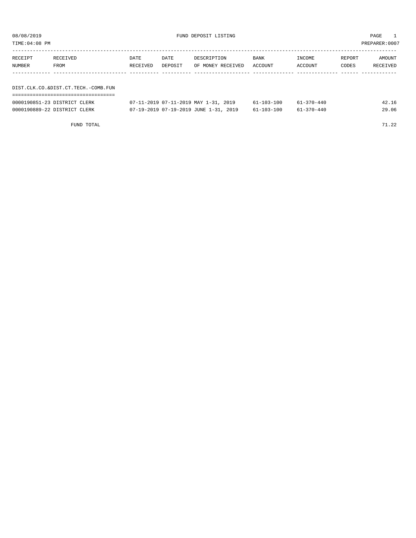TIME:04:08 PM PREPARER:0007

| RECEIPT | RECEIVED                            | DATE     | DATE    | DESCRIPTION       | BANK    | INCOME  | REPORT | AMOUNT          |
|---------|-------------------------------------|----------|---------|-------------------|---------|---------|--------|-----------------|
| NUMBER  | FROM                                | RECEIVED | DEPOSIT | OF MONEY RECEIVED | ACCOUNT | ACCOUNT | CODES  | <b>RECEIVED</b> |
|         |                                     |          |         |                   |         |         |        |                 |
|         |                                     |          |         |                   |         |         |        |                 |
|         | DIST.CLK.CO.&DIST.CT.TECH.-COMB.FUN |          |         |                   |         |         |        |                 |

|  |  |  | --------------------------------- |  | ----------------------------------- |  |
|--|--|--|-----------------------------------|--|-------------------------------------|--|

| 0000190851-23 DISTRICT CLERK | 07-11-2019 07-11-2019 MAY 1-31, 2019  | $61 - 103 - 100$ | $61 - 370 - 440$ | 42.16 |
|------------------------------|---------------------------------------|------------------|------------------|-------|
| 0000190889-22 DISTRICT CLERK | 07-19-2019 07-19-2019 JUNE 1-31, 2019 | 61-103-100       | $61 - 370 - 440$ | 29.06 |

FUND TOTAL 22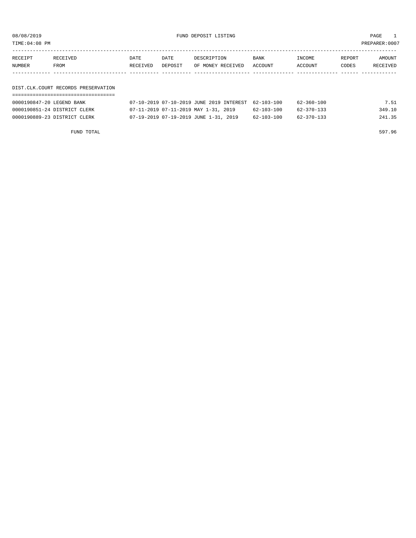08/08/2019 FUND DEPOSIT LISTING PAGE 1

| RECEIPT | RECEIVED | DATE     | DATE    | DESCRIPTION               | <b>BANK</b> | INCOME  | REPORT | AMOUNT   |
|---------|----------|----------|---------|---------------------------|-------------|---------|--------|----------|
| NUMBER  | FROM     | RECEIVED | DEPOSIT | OF MONEY RECEIVED ACCOUNT |             | ACCOUNT | CODES  | RECEIVED |
|         |          |          |         |                           |             |         |        |          |

#### DIST.CLK.COURT RECORDS PRESERVATION ===================================

| 0000190847-20 LEGEND BANK    | 07-10-2019 07-10-2019 JUNE 2019 INTEREST 62-103-100 |            | 62-360-100 | 7.51   |
|------------------------------|-----------------------------------------------------|------------|------------|--------|
| 0000190851-24 DISTRICT CLERK | 07-11-2019 07-11-2019 MAY 1-31, 2019                | 62-103-100 | 62-370-133 | 349.10 |
| 0000190889-23 DISTRICT CLERK | 07-19-2019 07-19-2019 JUNE 1-31, 2019               | 62-103-100 | 62-370-133 | 241.35 |

FUND TOTAL 597.96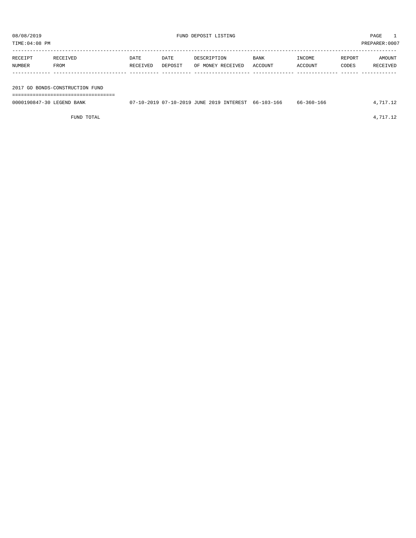PREPARER:0007

| 08/08/2019<br>TIME:04:08 PM |          |          |         | FUND DEPOSIT LISTING |             |         |        | PAGE<br>PREPARER:0007 |
|-----------------------------|----------|----------|---------|----------------------|-------------|---------|--------|-----------------------|
| RECEIPT                     | RECEIVED | DATE     | DATE    | DESCRIPTION          | <b>BANK</b> | INCOME  | REPORT | AMOUNT                |
| NUMBER                      | FROM     | RECEIVED | DEPOSIT | OF MONEY RECEIVED    | ACCOUNT     | ACCOUNT | CODES  | RECEIVED              |

2017 GO BONDS-CONSTRUCTION FUND

===================================

| 0000190847-30 LEGEND BANK | 07-10-2019 07-10-2019 JUNE 2019 INTEREST 66-103-166 |  | 66-360-166 | 4,717.12 |
|---------------------------|-----------------------------------------------------|--|------------|----------|
|                           |                                                     |  |            |          |

FUND TOTAL  $4,717.12$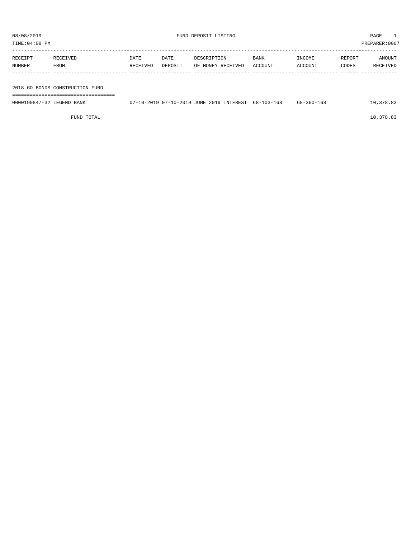| TIME: 04:08 PM            |                                 |                  |                 |                                                     |                 |                   |                 | PREPARER:0007      |
|---------------------------|---------------------------------|------------------|-----------------|-----------------------------------------------------|-----------------|-------------------|-----------------|--------------------|
| RECEIPT<br>NUMBER         | RECEIVED<br>FROM                | DATE<br>RECEIVED | DATE<br>DEPOSIT | DESCRIPTION<br>OF MONEY RECEIVED                    | BANK<br>ACCOUNT | INCOME<br>ACCOUNT | REPORT<br>CODES | AMOUNT<br>RECEIVED |
|                           | 2018 GO BONDS-CONSTRUCTION FUND |                  |                 |                                                     |                 |                   |                 |                    |
| 0000190847-32 LEGEND BANK |                                 |                  |                 | 07-10-2019 07-10-2019 JUNE 2019 INTEREST 68-103-168 |                 | 68-360-168        |                 | 10,378.83          |

FUND TOTAL  $10,378.83$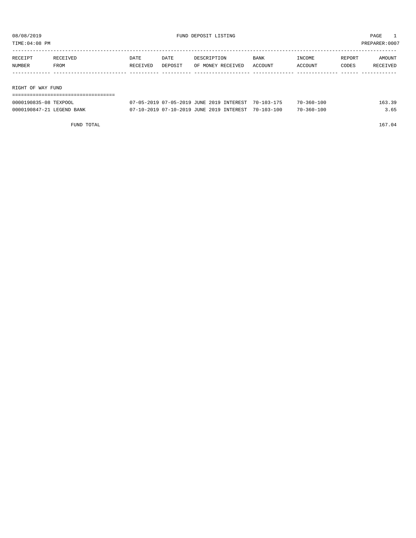TIME:04:08 PM PREPARER:0007

| RECEIPT | RECEIVED          | DATE     | DATE    | DESCRIPTION       | <b>BANK</b> | INCOME  | REPORT | AMOUNT   |  |  |
|---------|-------------------|----------|---------|-------------------|-------------|---------|--------|----------|--|--|
| NUMBER  | FROM              | RECEIVED | DEPOSIT | OF MONEY RECEIVED | ACCOUNT     | ACCOUNT | CODES  | RECEIVED |  |  |
|         |                   |          |         |                   |             |         |        |          |  |  |
|         |                   |          |         |                   |             |         |        |          |  |  |
|         | RIGHT OF WAY FUND |          |         |                   |             |         |        |          |  |  |
|         |                   |          |         |                   |             |         |        |          |  |  |

| 0000190835-08 TEXPOOL     | 07-05-2019 07-05-2019 JUNE 2019 INTEREST 70-103-175 | $70 - 360 - 100$ | - 39 |
|---------------------------|-----------------------------------------------------|------------------|------|
| 0000190847-21 LEGEND BANK | 07-10-2019 07-10-2019 JUNE 2019 INTEREST 70-103-100 | $70 - 360 - 100$ |      |

FUND TOTAL 167.04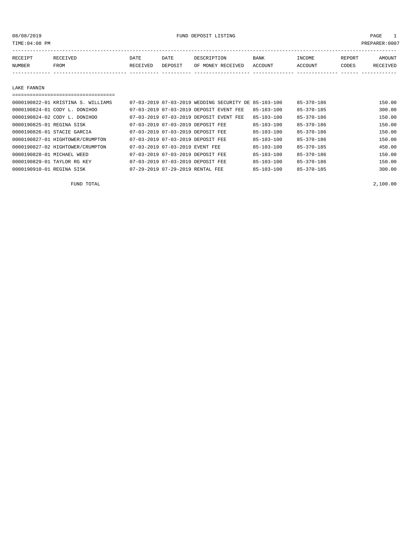PREPARER:0007

| TIME 04 OO FM |  |  |
|---------------|--|--|
|               |  |  |

| RECEIPT | <b>RECEIVED</b> | DATE     | DATE    | DESCRIPTION          | BANK           | INCOME        | REPORT       | AMOUNT          |
|---------|-----------------|----------|---------|----------------------|----------------|---------------|--------------|-----------------|
| NUMBER  | FROM            | RECEIVED | DEPOSIT | RECEIVED<br>OF MONEY | <b>ACCOUNT</b> | <b>CCOUNT</b> | <b>CODES</b> | <b>RECEIVED</b> |
|         |                 |          |         |                      |                |               |              |                 |

#### LAKE FANNIN

| 0000190822-01 KRISTINA S. WILLIAMS |                                  | 07-03-2019 07-03-2019 WEDDING SECURITY DE 85-103-100 |                  | $85 - 370 - 186$ | 150.00 |
|------------------------------------|----------------------------------|------------------------------------------------------|------------------|------------------|--------|
| 0000190824-01 CODY L. DONIHOO      |                                  | 07-03-2019 07-03-2019 DEPOSIT EVENT FEE              | $85 - 103 - 100$ | $85 - 370 - 185$ | 300.00 |
| 0000190824-02 CODY L. DONIHOO      |                                  | 07-03-2019 07-03-2019 DEPOSIT EVENT FEE              | $85 - 103 - 100$ | $85 - 370 - 186$ | 150.00 |
| 0000190825-01 REGINA SISK          |                                  | 07-03-2019 07-03-2019 DEPOSIT FEE                    | $85 - 103 - 100$ | $85 - 370 - 186$ | 150.00 |
| 0000190826-01 STACIE GARCIA        |                                  | 07-03-2019 07-03-2019 DEPOSIT FEE                    | $85 - 103 - 100$ | $85 - 370 - 186$ | 150.00 |
| 0000190827-01 HIGHTOWER/CRUMPTON   |                                  | 07-03-2019 07-03-2019 DEPOSIT FEE                    | $85 - 103 - 100$ | $85 - 370 - 186$ | 150.00 |
| 0000190827-02 HIGHTOWER/CRUMPTON   | 07-03-2019 07-03-2019 EVENT FEE  |                                                      | $85 - 103 - 100$ | $85 - 370 - 185$ | 450.00 |
| 0000190828-01 MICHAEL WEED         |                                  | 07-03-2019 07-03-2019 DEPOSIT FEE                    | $85 - 103 - 100$ | $85 - 370 - 186$ | 150.00 |
| 0000190829-01 TAYLOR RG KEY        |                                  | 07-03-2019 07-03-2019 DEPOSIT FEE                    | $85 - 103 - 100$ | $85 - 370 - 186$ | 150.00 |
| 0000190910-01 REGINA SISK          | 07-29-2019 07-29-2019 RENTAL FEE |                                                      | $85 - 103 - 100$ | $85 - 370 - 185$ | 300.00 |

FUND TOTAL 2,100.00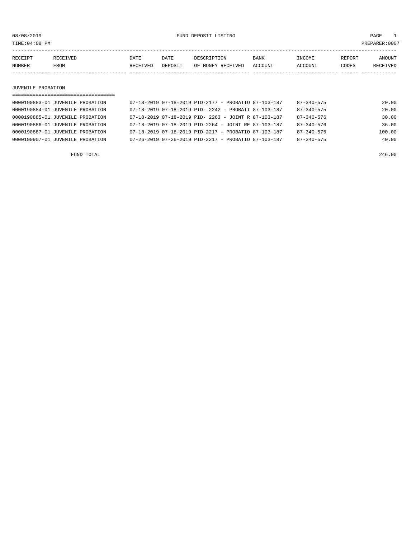08/08/2019 FUND DEPOSIT LISTING PAGE 1

| RECEIPT | RECEIVED | DATE            | DATE           | DESCRIPTION           | <b>BANK</b>    | INCOME  | <b>REPORT</b> | AMOUNT   |
|---------|----------|-----------------|----------------|-----------------------|----------------|---------|---------------|----------|
| NUMBER  | FROM     | <b>RECEIVED</b> | <b>DEPOSIT</b> | MONEY RECEIVED<br>OF. | <b>ACCOUNT</b> | ACCOUNT | CODES         | RECEIVED |
|         |          |                 |                |                       |                |         |               |          |

JUVENILE PROBATION

| ================================== |                                                                  |                  |        |
|------------------------------------|------------------------------------------------------------------|------------------|--------|
| 0000190883-01 JUVENILE PROBATION   | 07-18-2019 07-18-2019 PID-2177 - PROBATIO 87-103-187             | 87-340-575       | 20.00  |
| 0000190884-01 JUVENILE PROBATION   | 07-18-2019 07-18-2019 PID- 2242 - PROBATI 87-103-187             | $87 - 340 - 575$ | 20.00  |
| 0000190885-01 JUVENILE PROBATION   | $07-18-2019$ $07-18-2019$ PID- 2263 - JOINT R 87-103-187         | $87 - 340 - 576$ | 30.00  |
| 0000190886-01 JUVENILE PROBATION   | $07-18-2019$ $07-18-2019$ PID-2264 - JOINT RE 87-103-187         | $87 - 340 - 576$ | 36.00  |
| 0000190887-01 JUVENILE PROBATION   | $07-18-2019$ $07-18-2019$ PID-2217 - PROBATIO 87-103-187         | $87 - 340 - 575$ | 100.00 |
| 0000190907-01 JUVENILE PROBATION   | $07 - 26 - 2019$ $07 - 26 - 2019$ PID-2217 - PROBATIO 87-103-187 | $87 - 340 - 575$ | 40.00  |
|                                    |                                                                  |                  |        |

FUND TOTAL 246.00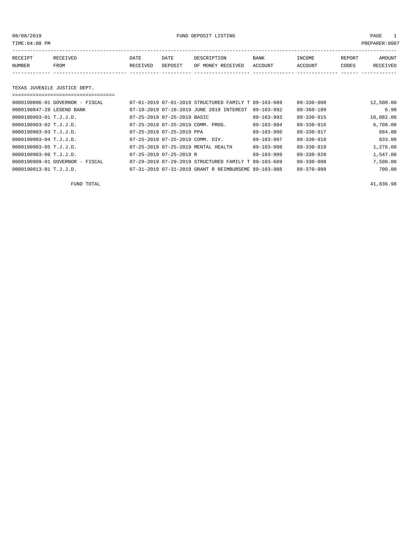08/08/2019 FUND DEPOSIT LISTING PAGE 1

| RECEIPT | <b>RECEIVED</b> | DATE            | DATE    | DESCRIPTION       | <b>BANK</b> | <b>INCOME</b> | REPORT | AMOUNT          |
|---------|-----------------|-----------------|---------|-------------------|-------------|---------------|--------|-----------------|
| NUMBER  | FROM            | <b>RECEIVED</b> | DEPOSIT | OF MONEY RECEIVED | ACCOUNT     | ACCOUNT       | CODES  | <b>RECEIVED</b> |
|         |                 |                 |         |                   |             |               |        |                 |

#### TEXAS JUVENILE JUSTICE DEPT.

| $0000190806 - 01$ GOVERNOR - FISCAL |                                       | 07-01-2019 07-01-2019 STRUCTURED FAMILY T 89-103-689 |                  | $89 - 330 - 908$ | 12,500.00 |
|-------------------------------------|---------------------------------------|------------------------------------------------------|------------------|------------------|-----------|
| 0000190847-28 LEGEND BANK           |                                       | 07-10-2019 07-10-2019 JUNE 2019 INTEREST             | $89 - 103 - 992$ | $89 - 360 - 189$ | 6.98      |
| 0000190903-01 T.J.J.D.              | 07-25-2019 07-25-2019 BASIC           |                                                      | $89 - 103 - 993$ | 89-330-915       | 10,082.00 |
| $0000190903 - 02$ T.J.J.D.          |                                       | 07-25-2019 07-25-2019 COMM. PROG.                    | $89 - 103 - 994$ | 89-330-916       | 6,708.00  |
| $0000190903 - 03$ T.J.J.D.          | $07 - 25 - 2019$ $07 - 25 - 2019$ PPA |                                                      | $89 - 103 - 996$ | 89-330-917       | 684.00    |
| $0000190903 - 04$ T.J.J.D.          | 07-25-2019 07-25-2019 COMM. DIV.      |                                                      | $89 - 103 - 997$ | $89 - 330 - 918$ | 833.00    |
| $0000190903 - 05$ T.J.J.D.          |                                       | 07-25-2019 07-25-2019 MENTAL HEALTH                  | 89-103-998       | $89 - 330 - 919$ | 1,276.00  |
| $0000190903 - 06$ T.J.J.D.          | $07 - 25 - 2019$ $07 - 25 - 2019$ R   |                                                      | $89 - 103 - 999$ | $89 - 330 - 920$ | 1,547.00  |
| 0000190909-01 GOVERNOR - FISCAL     |                                       | 07-29-2019 07-29-2019 STRUCTURED FAMILY T 89-103-689 |                  | $89 - 330 - 908$ | 7,500.00  |
| 0000190913-01 T.J.J.D.              |                                       | 07-31-2019 07-31-2019 GRANT R REIMBURSEME 89-103-988 |                  | 89-370-988       | 700.00    |

FUND TOTAL  $41,836.98$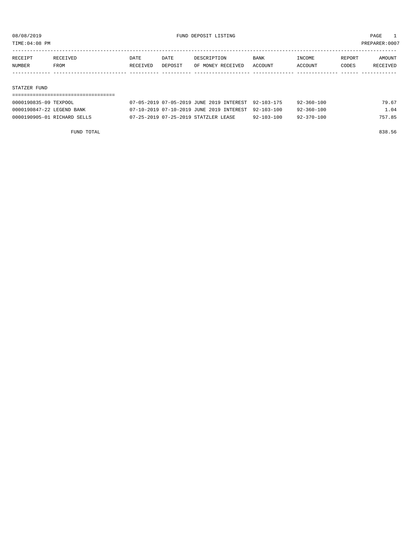TIME:04:08 PM PREPARER:0007

| RECEIPT | RECEIVED    | DATE     | DATE    | DESCRIPTION       | <b>BANK</b> | INCOME  | REPORT | AMOUNT   |
|---------|-------------|----------|---------|-------------------|-------------|---------|--------|----------|
| NUMBER  | <b>FROM</b> | RECEIVED | DEPOSIT | OF MONEY RECEIVED | ACCOUNT     | ACCOUNT | CODES  | RECEIVED |
|         |             |          |         |                   |             |         |        |          |

#### STATZER FUND

| 0000190835-09 TEXPOOL       | 07-05-2019 07-05-2019 JUNE 2019 INTEREST 92-103-175 |                  | $92 - 360 - 100$ | 79.67  |
|-----------------------------|-----------------------------------------------------|------------------|------------------|--------|
| 0000190847-22 LEGEND BANK   | 07-10-2019 07-10-2019 JUNE 2019 INTEREST 92-103-100 |                  | 92-360-100       | 1.04   |
| 0000190905-01 RICHARD SELLS | 07-25-2019 07-25-2019 STATZLER LEASE                | $92 - 103 - 100$ | $92 - 370 - 100$ | 757.85 |

FUND TOTAL 838.56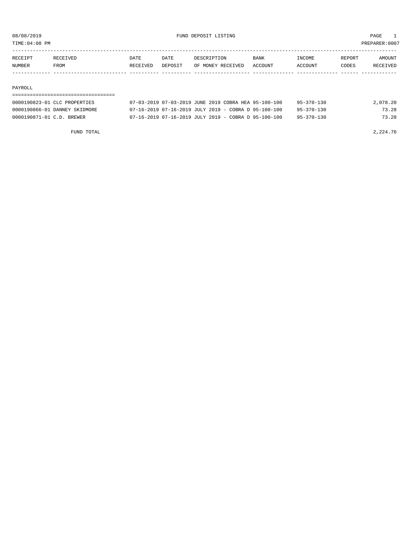TIME:04:08 PM PREPARER:0007

| RECEIPT       | RECEIVED    | DATE     | <b>DATE</b> | DESCRIPTION       | <b>BANK</b> | <b>TNCOME</b>  | REPORT | AMOUNT          |
|---------------|-------------|----------|-------------|-------------------|-------------|----------------|--------|-----------------|
| <b>NUMBER</b> | <b>FROM</b> | RECEIVED | DEPOSIT     | OF MONEY RECEIVED | ACCOUNT     | <b>ACCOUNT</b> | CODES  | <b>RECEIVED</b> |
|               |             |          |             |                   |             |                |        |                 |

#### PAYROLL

### ===================================

| 0000190823-01 CLC PROPERTIES  | 07-03-2019 07-03-2019 JUNE 2019 COBRA HEA 95-100-100     |  | $95 - 370 - 130$ | 2,078.20 |
|-------------------------------|----------------------------------------------------------|--|------------------|----------|
| 0000190866-01 DANNEY SKIDMORE | $07-16-2019$ $07-16-2019$ JULY 2019 - COBRA D 95-100-100 |  | $95 - 370 - 130$ | 73.28    |
| 0000190871-01 C.D. BREWER     | $07-16-2019$ $07-16-2019$ JULY 2019 - COBRA D 95-100-100 |  | $95 - 370 - 130$ | 73.28    |

FUND TOTAL 2,224.76